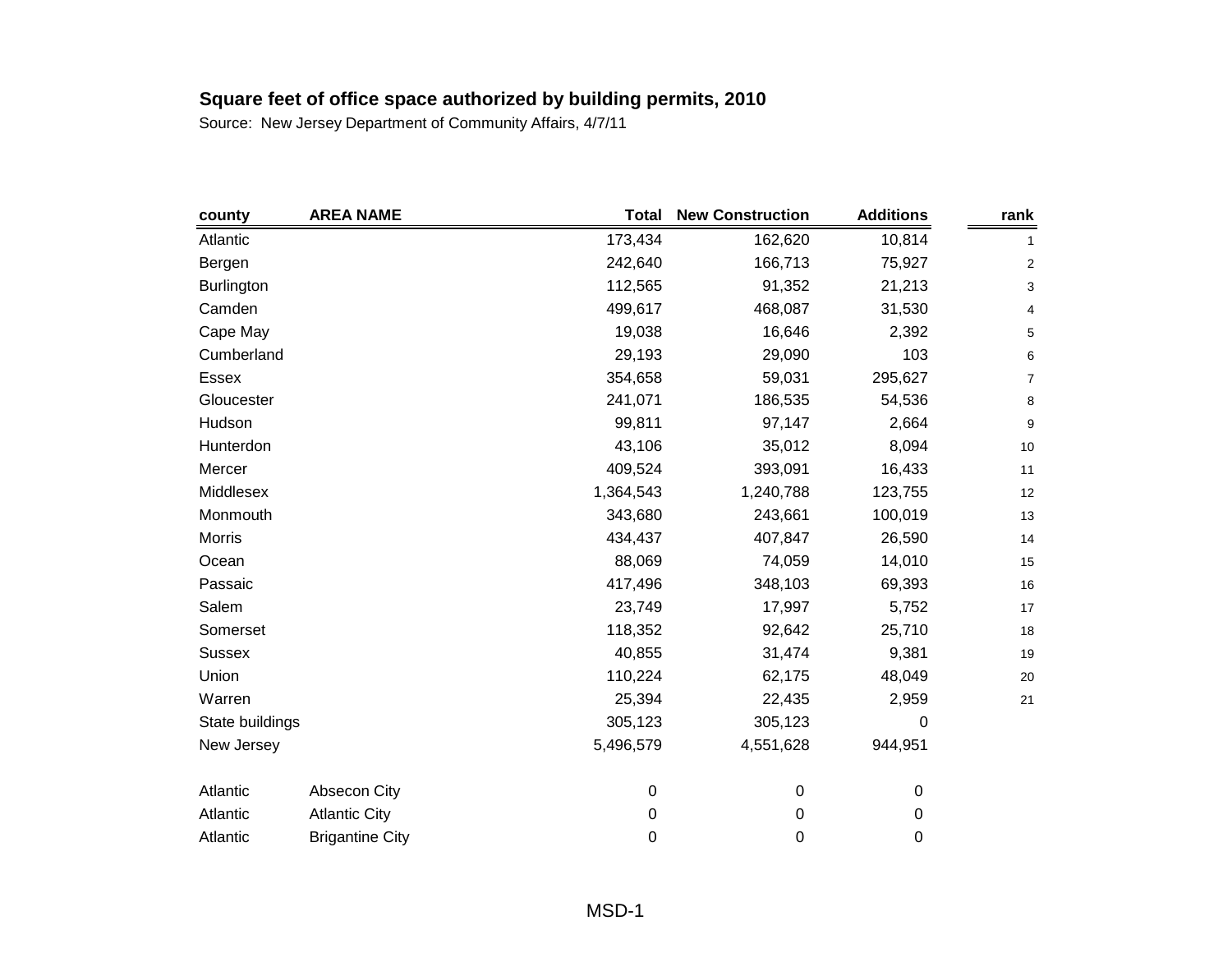| county            | <b>AREA NAME</b>       | <b>Total</b> | <b>New Construction</b> | <b>Additions</b> | rank         |
|-------------------|------------------------|--------------|-------------------------|------------------|--------------|
| Atlantic          |                        | 173,434      | 162,620                 | 10,814           | $\mathbf{1}$ |
| Bergen            |                        | 242,640      | 166,713                 | 75,927           | 2            |
| <b>Burlington</b> |                        | 112,565      | 91,352                  | 21,213           | 3            |
| Camden            |                        | 499,617      | 468,087                 | 31,530           | 4            |
| Cape May          |                        | 19,038       | 16,646                  | 2,392            | 5            |
| Cumberland        |                        | 29,193       | 29,090                  | 103              | 6            |
| <b>Essex</b>      |                        | 354,658      | 59,031                  | 295,627          | 7            |
| Gloucester        |                        | 241,071      | 186,535                 | 54,536           | $\bf 8$      |
| Hudson            |                        | 99,811       | 97,147                  | 2,664            | 9            |
| Hunterdon         |                        | 43,106       | 35,012                  | 8,094            | $10$         |
| Mercer            |                        | 409,524      | 393,091                 | 16,433           | 11           |
| Middlesex         |                        | 1,364,543    | 1,240,788               | 123,755          | 12           |
| Monmouth          |                        | 343,680      | 243,661                 | 100,019          | 13           |
| Morris            |                        | 434,437      | 407,847                 | 26,590           | 14           |
| Ocean             |                        | 88,069       | 74,059                  | 14,010           | 15           |
| Passaic           |                        | 417,496      | 348,103                 | 69,393           | 16           |
| Salem             |                        | 23,749       | 17,997                  | 5,752            | 17           |
| Somerset          |                        | 118,352      | 92,642                  | 25,710           | 18           |
| <b>Sussex</b>     |                        | 40,855       | 31,474                  | 9,381            | 19           |
| Union             |                        | 110,224      | 62,175                  | 48,049           | $20\,$       |
| Warren            |                        | 25,394       | 22,435                  | 2,959            | 21           |
| State buildings   |                        | 305,123      | 305,123                 | 0                |              |
| New Jersey        |                        | 5,496,579    | 4,551,628               | 944,951          |              |
| Atlantic          | Absecon City           | 0            | $\pmb{0}$               | 0                |              |
| Atlantic          | <b>Atlantic City</b>   | 0            | 0                       | 0                |              |
| Atlantic          | <b>Brigantine City</b> | 0            | 0                       | 0                |              |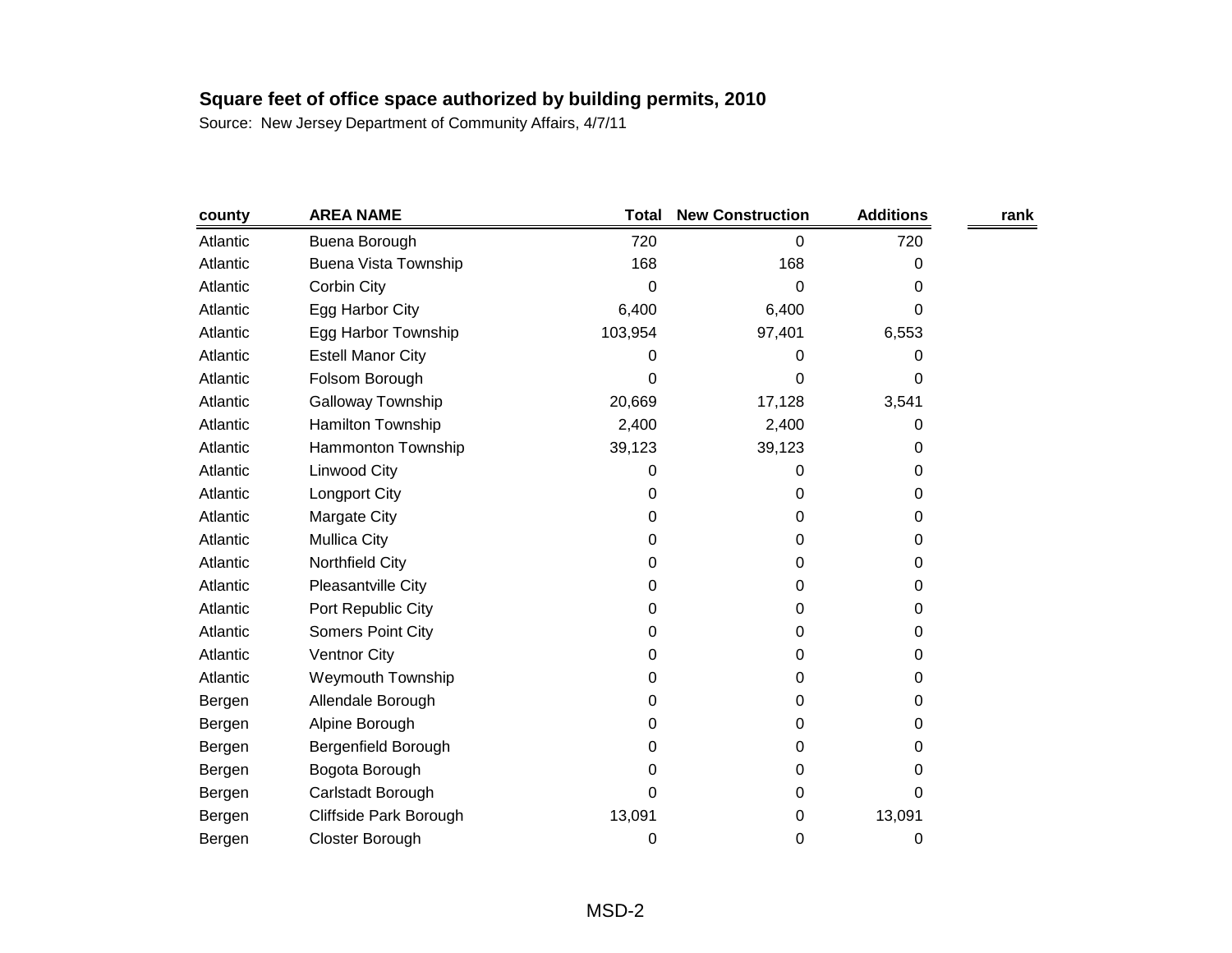| county   | <b>AREA NAME</b>            | <b>Total</b> | <b>New Construction</b> | <b>Additions</b> | rank |
|----------|-----------------------------|--------------|-------------------------|------------------|------|
| Atlantic | Buena Borough               | 720          | 0                       | 720              |      |
| Atlantic | <b>Buena Vista Township</b> | 168          | 168                     | 0                |      |
| Atlantic | Corbin City                 | 0            | 0                       | 0                |      |
| Atlantic | Egg Harbor City             | 6,400        | 6,400                   | 0                |      |
| Atlantic | Egg Harbor Township         | 103,954      | 97,401                  | 6,553            |      |
| Atlantic | <b>Estell Manor City</b>    | 0            | 0                       | 0                |      |
| Atlantic | Folsom Borough              | 0            | 0                       | 0                |      |
| Atlantic | Galloway Township           | 20,669       | 17,128                  | 3,541            |      |
| Atlantic | Hamilton Township           | 2,400        | 2,400                   | 0                |      |
| Atlantic | Hammonton Township          | 39,123       | 39,123                  | 0                |      |
| Atlantic | <b>Linwood City</b>         | 0            | 0                       | 0                |      |
| Atlantic | <b>Longport City</b>        | 0            | 0                       | 0                |      |
| Atlantic | Margate City                | 0            | 0                       | 0                |      |
| Atlantic | <b>Mullica City</b>         | 0            | 0                       | 0                |      |
| Atlantic | Northfield City             | 0            | 0                       | 0                |      |
| Atlantic | Pleasantville City          | 0            | 0                       | 0                |      |
| Atlantic | Port Republic City          | 0            | 0                       | 0                |      |
| Atlantic | Somers Point City           | 0            | 0                       | 0                |      |
| Atlantic | <b>Ventnor City</b>         | 0            | 0                       | 0                |      |
| Atlantic | <b>Weymouth Township</b>    | 0            | 0                       | 0                |      |
| Bergen   | Allendale Borough           | 0            | 0                       | 0                |      |
| Bergen   | Alpine Borough              | 0            | 0                       | 0                |      |
| Bergen   | Bergenfield Borough         | 0            | 0                       | 0                |      |
| Bergen   | Bogota Borough              | 0            | 0                       | 0                |      |
| Bergen   | Carlstadt Borough           | 0            | 0                       | 0                |      |
| Bergen   | Cliffside Park Borough      | 13,091       | 0                       | 13,091           |      |
| Bergen   | Closter Borough             | 0            | 0                       | 0                |      |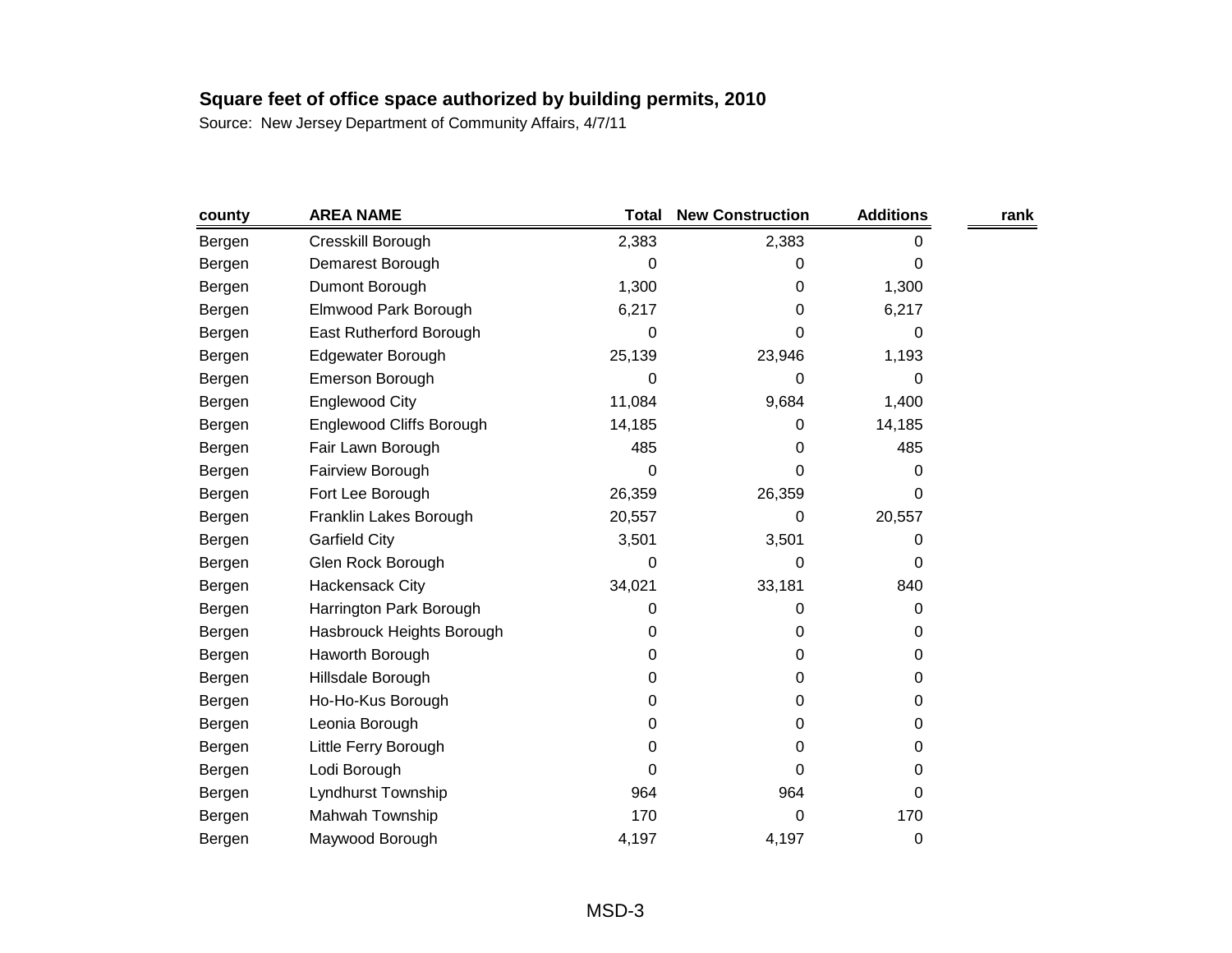| county | <b>AREA NAME</b>          | <b>Total</b> | <b>New Construction</b> | <b>Additions</b> | rank |
|--------|---------------------------|--------------|-------------------------|------------------|------|
| Bergen | Cresskill Borough         | 2,383        | 2,383                   | 0                |      |
| Bergen | Demarest Borough          | 0            | 0                       | 0                |      |
| Bergen | Dumont Borough            | 1,300        | 0                       | 1,300            |      |
| Bergen | Elmwood Park Borough      | 6,217        | 0                       | 6,217            |      |
| Bergen | East Rutherford Borough   | 0            | 0                       | 0                |      |
| Bergen | Edgewater Borough         | 25,139       | 23,946                  | 1,193            |      |
| Bergen | Emerson Borough           | 0            | 0                       | 0                |      |
| Bergen | Englewood City            | 11,084       | 9,684                   | 1,400            |      |
| Bergen | Englewood Cliffs Borough  | 14,185       | 0                       | 14,185           |      |
| Bergen | Fair Lawn Borough         | 485          | 0                       | 485              |      |
| Bergen | Fairview Borough          | 0            | 0                       | 0                |      |
| Bergen | Fort Lee Borough          | 26,359       | 26,359                  | 0                |      |
| Bergen | Franklin Lakes Borough    | 20,557       | 0                       | 20,557           |      |
| Bergen | <b>Garfield City</b>      | 3,501        | 3,501                   | 0                |      |
| Bergen | Glen Rock Borough         | 0            | 0                       | 0                |      |
| Bergen | Hackensack City           | 34,021       | 33,181                  | 840              |      |
| Bergen | Harrington Park Borough   | 0            | 0                       | 0                |      |
| Bergen | Hasbrouck Heights Borough | 0            | 0                       | 0                |      |
| Bergen | Haworth Borough           | 0            | 0                       | 0                |      |
| Bergen | Hillsdale Borough         | 0            | 0                       | 0                |      |
| Bergen | Ho-Ho-Kus Borough         | 0            | 0                       | 0                |      |
| Bergen | Leonia Borough            | 0            | 0                       | 0                |      |
| Bergen | Little Ferry Borough      | 0            | 0                       | 0                |      |
| Bergen | Lodi Borough              | 0            | 0                       | 0                |      |
| Bergen | Lyndhurst Township        | 964          | 964                     | 0                |      |
| Bergen | Mahwah Township           | 170          | 0                       | 170              |      |
| Bergen | Maywood Borough           | 4,197        | 4,197                   | 0                |      |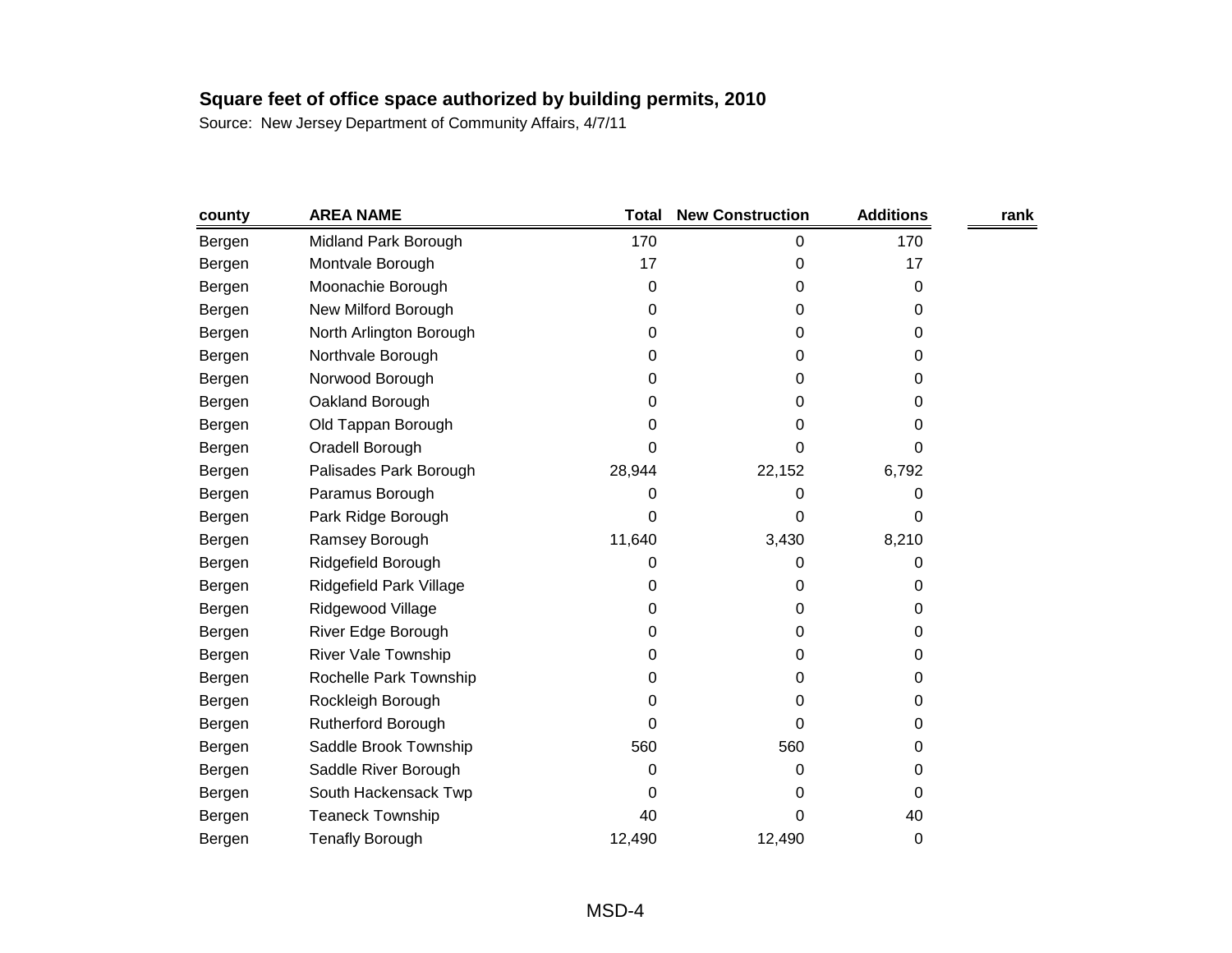| county | <b>AREA NAME</b>        | <b>Total</b> | <b>New Construction</b> | <b>Additions</b> | rank |
|--------|-------------------------|--------------|-------------------------|------------------|------|
| Bergen | Midland Park Borough    | 170          | 0                       | 170              |      |
| Bergen | Montvale Borough        | 17           | 0                       | 17               |      |
| Bergen | Moonachie Borough       | 0            | 0                       | 0                |      |
| Bergen | New Milford Borough     | 0            | 0                       | 0                |      |
| Bergen | North Arlington Borough | 0            | 0                       | 0                |      |
| Bergen | Northvale Borough       | 0            | 0                       | 0                |      |
| Bergen | Norwood Borough         | 0            | 0                       | 0                |      |
| Bergen | Oakland Borough         | 0            | 0                       | 0                |      |
| Bergen | Old Tappan Borough      | 0            | 0                       | 0                |      |
| Bergen | Oradell Borough         | 0            | 0                       | 0                |      |
| Bergen | Palisades Park Borough  | 28,944       | 22,152                  | 6,792            |      |
| Bergen | Paramus Borough         | 0            | 0                       | 0                |      |
| Bergen | Park Ridge Borough      | 0            | 0                       | 0                |      |
| Bergen | Ramsey Borough          | 11,640       | 3,430                   | 8,210            |      |
| Bergen | Ridgefield Borough      | 0            | 0                       | 0                |      |
| Bergen | Ridgefield Park Village | 0            | 0                       | 0                |      |
| Bergen | Ridgewood Village       | 0            | 0                       | 0                |      |
| Bergen | River Edge Borough      | 0            | 0                       | 0                |      |
| Bergen | River Vale Township     | 0            | 0                       | 0                |      |
| Bergen | Rochelle Park Township  | 0            | 0                       | 0                |      |
| Bergen | Rockleigh Borough       | 0            | 0                       | 0                |      |
| Bergen | Rutherford Borough      | 0            | 0                       | 0                |      |
| Bergen | Saddle Brook Township   | 560          | 560                     | 0                |      |
| Bergen | Saddle River Borough    | 0            | 0                       | 0                |      |
| Bergen | South Hackensack Twp    | 0            | 0                       | 0                |      |
| Bergen | <b>Teaneck Township</b> | 40           | 0                       | 40               |      |
| Bergen | <b>Tenafly Borough</b>  | 12,490       | 12,490                  | 0                |      |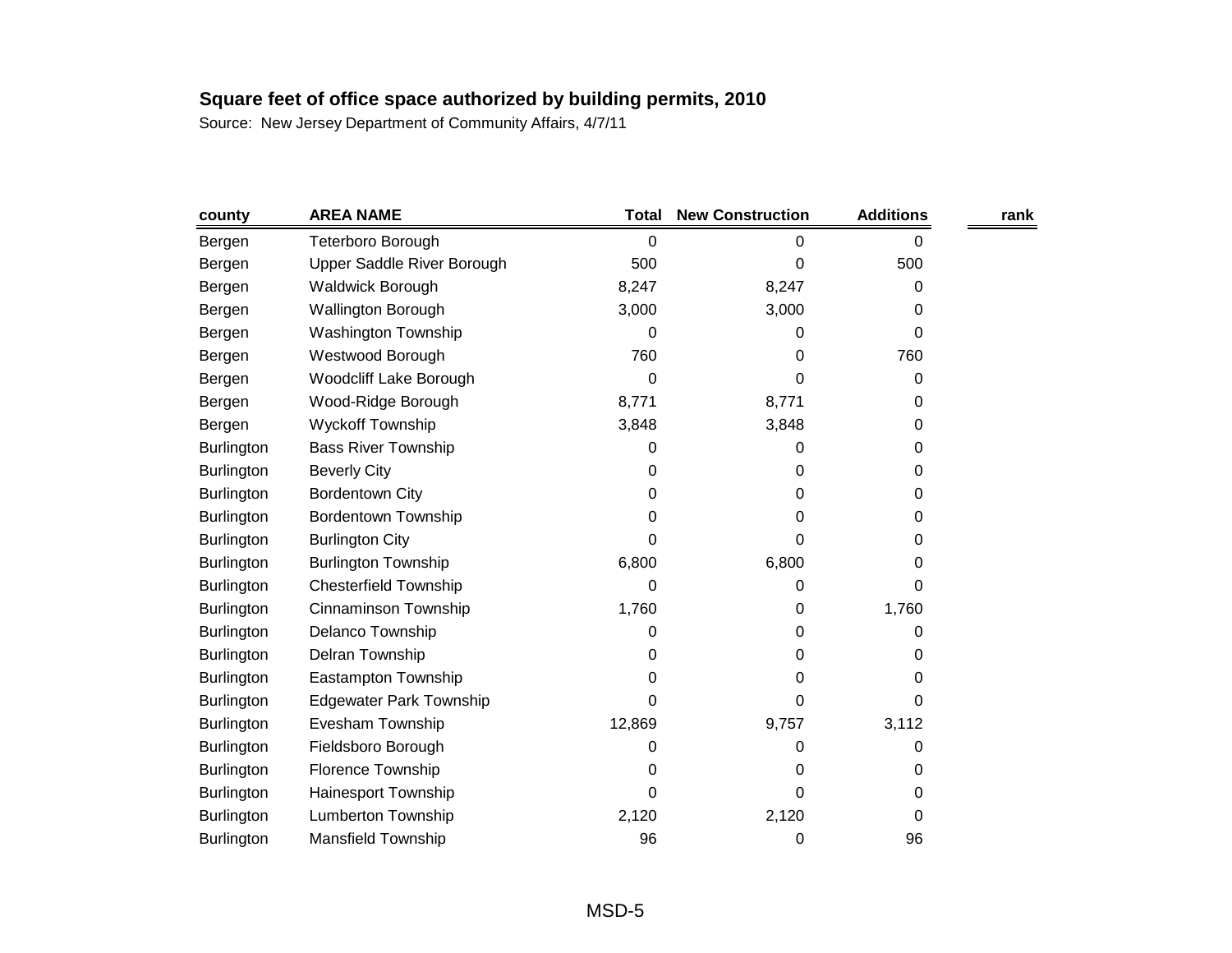| county            | <b>AREA NAME</b>               | <b>Total</b> | <b>New Construction</b> | <b>Additions</b> | rank |
|-------------------|--------------------------------|--------------|-------------------------|------------------|------|
| Bergen            | Teterboro Borough              | 0            | 0                       | 0                |      |
| Bergen            | Upper Saddle River Borough     | 500          | 0                       | 500              |      |
| Bergen            | <b>Waldwick Borough</b>        | 8,247        | 8,247                   | 0                |      |
| Bergen            | <b>Wallington Borough</b>      | 3,000        | 3,000                   | 0                |      |
| Bergen            | Washington Township            | 0            | 0                       | 0                |      |
| Bergen            | Westwood Borough               | 760          | 0                       | 760              |      |
| Bergen            | Woodcliff Lake Borough         | 0            | 0                       | 0                |      |
| Bergen            | Wood-Ridge Borough             | 8,771        | 8,771                   | 0                |      |
| Bergen            | Wyckoff Township               | 3,848        | 3,848                   | 0                |      |
| <b>Burlington</b> | <b>Bass River Township</b>     | 0            | 0                       | 0                |      |
| <b>Burlington</b> | <b>Beverly City</b>            | 0            | 0                       | 0                |      |
| <b>Burlington</b> | <b>Bordentown City</b>         | 0            | 0                       | 0                |      |
| <b>Burlington</b> | <b>Bordentown Township</b>     | 0            | 0                       | 0                |      |
| <b>Burlington</b> | <b>Burlington City</b>         | 0            | 0                       | 0                |      |
| <b>Burlington</b> | <b>Burlington Township</b>     | 6,800        | 6,800                   | 0                |      |
| <b>Burlington</b> | <b>Chesterfield Township</b>   | 0            | 0                       | 0                |      |
| Burlington        | Cinnaminson Township           | 1,760        | 0                       | 1,760            |      |
| <b>Burlington</b> | Delanco Township               | 0            | 0                       | 0                |      |
| <b>Burlington</b> | Delran Township                | 0            | 0                       | 0                |      |
| Burlington        | Eastampton Township            | 0            | 0                       | 0                |      |
| <b>Burlington</b> | <b>Edgewater Park Township</b> | 0            | 0                       | 0                |      |
| Burlington        | Evesham Township               | 12,869       | 9,757                   | 3,112            |      |
| <b>Burlington</b> | Fieldsboro Borough             | 0            | 0                       | 0                |      |
| <b>Burlington</b> | Florence Township              | 0            | 0                       | 0                |      |
| <b>Burlington</b> | Hainesport Township            | 0            | 0                       | 0                |      |
| <b>Burlington</b> | <b>Lumberton Township</b>      | 2,120        | 2,120                   | 0                |      |
| <b>Burlington</b> | <b>Mansfield Township</b>      | 96           | 0                       | 96               |      |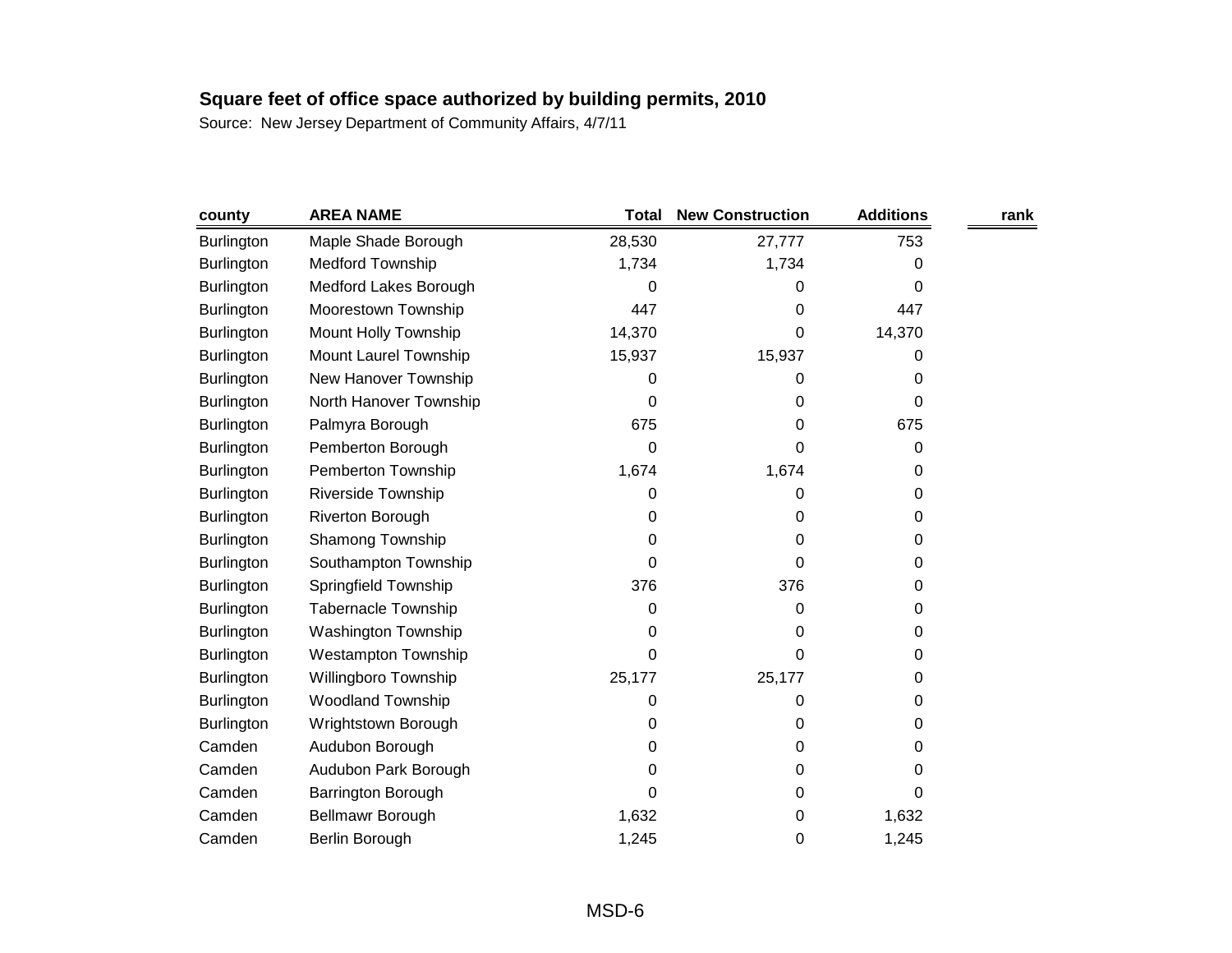| county            | <b>AREA NAME</b>           | <b>Total</b> | <b>New Construction</b> | <b>Additions</b> | rank |
|-------------------|----------------------------|--------------|-------------------------|------------------|------|
| <b>Burlington</b> | Maple Shade Borough        | 28,530       | 27,777                  | 753              |      |
| <b>Burlington</b> | <b>Medford Township</b>    | 1,734        | 1,734                   | 0                |      |
| <b>Burlington</b> | Medford Lakes Borough      | 0            | 0                       | 0                |      |
| <b>Burlington</b> | Moorestown Township        | 447          | 0                       | 447              |      |
| <b>Burlington</b> | Mount Holly Township       | 14,370       | 0                       | 14,370           |      |
| <b>Burlington</b> | Mount Laurel Township      | 15,937       | 15,937                  | 0                |      |
| Burlington        | New Hanover Township       | 0            | 0                       | 0                |      |
| <b>Burlington</b> | North Hanover Township     | 0            | 0                       | 0                |      |
| <b>Burlington</b> | Palmyra Borough            | 675          | 0                       | 675              |      |
| <b>Burlington</b> | Pemberton Borough          | 0            | 0                       | 0                |      |
| <b>Burlington</b> | Pemberton Township         | 1,674        | 1,674                   | 0                |      |
| <b>Burlington</b> | Riverside Township         | 0            | 0                       | 0                |      |
| Burlington        | <b>Riverton Borough</b>    | 0            | 0                       | 0                |      |
| <b>Burlington</b> | Shamong Township           | 0            | 0                       | 0                |      |
| <b>Burlington</b> | Southampton Township       | 0            | 0                       | 0                |      |
| Burlington        | Springfield Township       | 376          | 376                     | 0                |      |
| <b>Burlington</b> | <b>Tabernacle Township</b> | 0            | 0                       | 0                |      |
| <b>Burlington</b> | Washington Township        | 0            | 0                       | 0                |      |
| <b>Burlington</b> | Westampton Township        | 0            | 0                       | 0                |      |
| <b>Burlington</b> | Willingboro Township       | 25,177       | 25,177                  | 0                |      |
| <b>Burlington</b> | <b>Woodland Township</b>   | 0            | 0                       | 0                |      |
| <b>Burlington</b> | Wrightstown Borough        | 0            | 0                       | 0                |      |
| Camden            | Audubon Borough            | 0            | 0                       | 0                |      |
| Camden            | Audubon Park Borough       | 0            | 0                       | 0                |      |
| Camden            | Barrington Borough         | 0            | 0                       | 0                |      |
| Camden            | <b>Bellmawr Borough</b>    | 1,632        | 0                       | 1,632            |      |
| Camden            | Berlin Borough             | 1,245        | 0                       | 1,245            |      |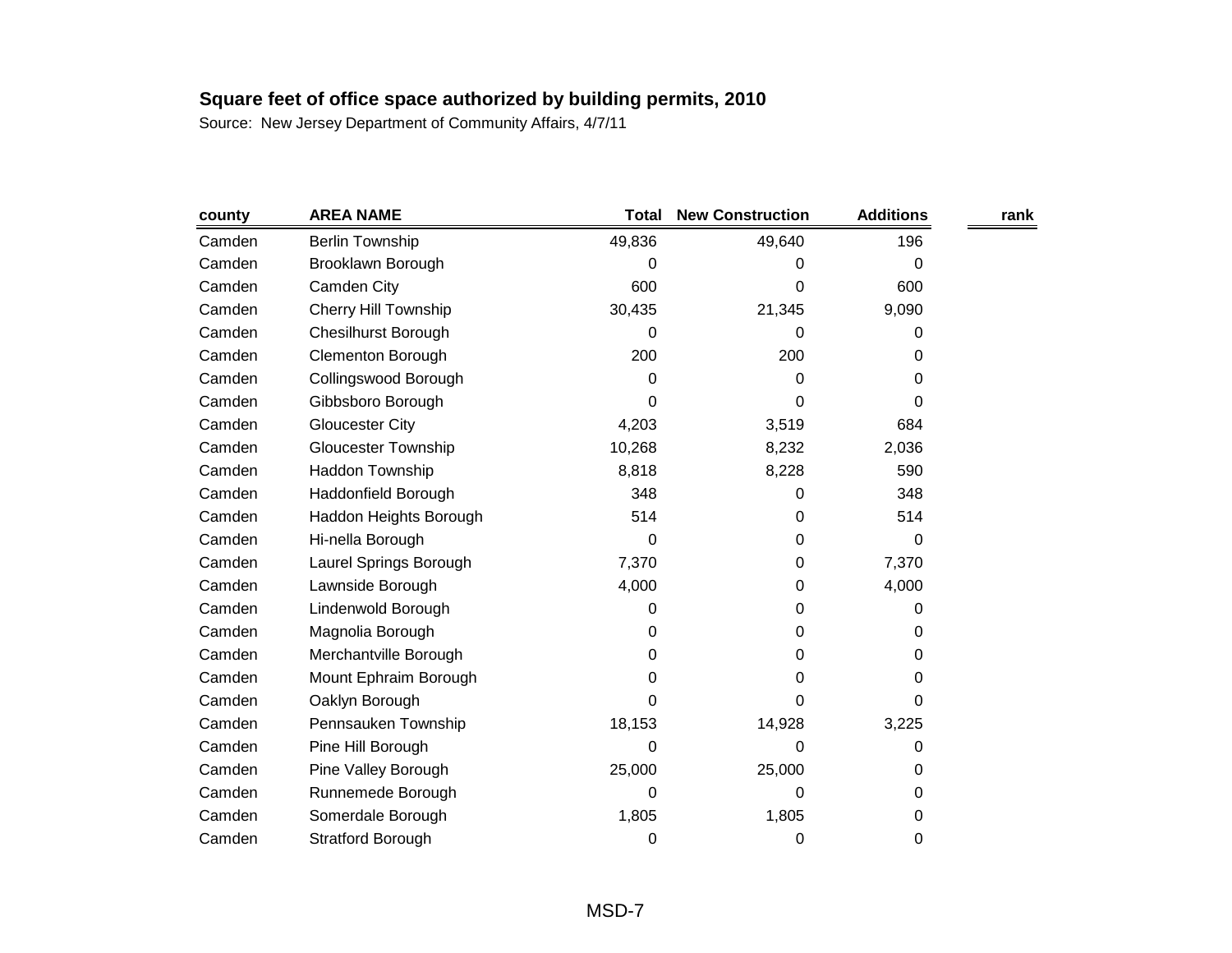| county | <b>AREA NAME</b>            | <b>Total</b> | <b>New Construction</b> | <b>Additions</b> | rank |
|--------|-----------------------------|--------------|-------------------------|------------------|------|
| Camden | <b>Berlin Township</b>      | 49,836       | 49,640                  | 196              |      |
| Camden | Brooklawn Borough           | 0            | 0                       | 0                |      |
| Camden | Camden City                 | 600          | 0                       | 600              |      |
| Camden | <b>Cherry Hill Township</b> | 30,435       | 21,345                  | 9,090            |      |
| Camden | <b>Chesilhurst Borough</b>  | 0            | 0                       | 0                |      |
| Camden | <b>Clementon Borough</b>    | 200          | 200                     | 0                |      |
| Camden | Collingswood Borough        | 0            | 0                       | 0                |      |
| Camden | Gibbsboro Borough           | 0            | 0                       | 0                |      |
| Camden | <b>Gloucester City</b>      | 4,203        | 3,519                   | 684              |      |
| Camden | <b>Gloucester Township</b>  | 10,268       | 8,232                   | 2,036            |      |
| Camden | Haddon Township             | 8,818        | 8,228                   | 590              |      |
| Camden | Haddonfield Borough         | 348          | 0                       | 348              |      |
| Camden | Haddon Heights Borough      | 514          | 0                       | 514              |      |
| Camden | Hi-nella Borough            | 0            | 0                       | 0                |      |
| Camden | Laurel Springs Borough      | 7,370        | 0                       | 7,370            |      |
| Camden | Lawnside Borough            | 4,000        | 0                       | 4,000            |      |
| Camden | Lindenwold Borough          | 0            | 0                       | 0                |      |
| Camden | Magnolia Borough            | 0            | 0                       | 0                |      |
| Camden | Merchantville Borough       | 0            | 0                       | 0                |      |
| Camden | Mount Ephraim Borough       | 0            | 0                       | 0                |      |
| Camden | Oaklyn Borough              | 0            | 0                       | 0                |      |
| Camden | Pennsauken Township         | 18,153       | 14,928                  | 3,225            |      |
| Camden | Pine Hill Borough           | 0            | 0                       | 0                |      |
| Camden | Pine Valley Borough         | 25,000       | 25,000                  | 0                |      |
| Camden | Runnemede Borough           | 0            | 0                       | 0                |      |
| Camden | Somerdale Borough           | 1,805        | 1,805                   | 0                |      |
| Camden | <b>Stratford Borough</b>    | 0            | 0                       | 0                |      |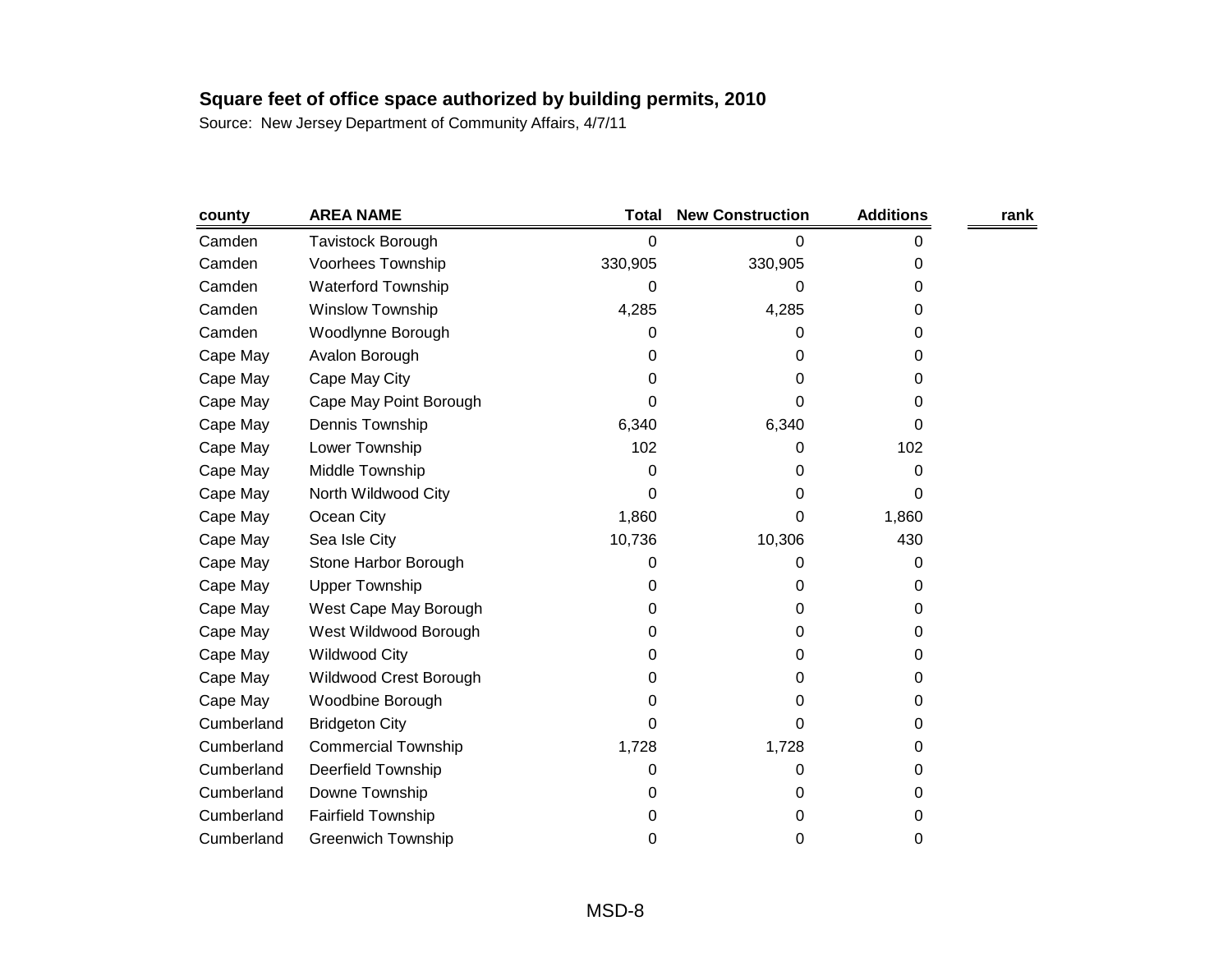| county     | <b>AREA NAME</b>           | Total   | <b>New Construction</b> | <b>Additions</b> | rank |
|------------|----------------------------|---------|-------------------------|------------------|------|
| Camden     | Tavistock Borough          | 0       | 0                       | 0                |      |
| Camden     | Voorhees Township          | 330,905 | 330,905                 | 0                |      |
| Camden     | <b>Waterford Township</b>  | 0       | 0                       | 0                |      |
| Camden     | <b>Winslow Township</b>    | 4,285   | 4,285                   | 0                |      |
| Camden     | Woodlynne Borough          | 0       | 0                       | 0                |      |
| Cape May   | Avalon Borough             | 0       | 0                       | 0                |      |
| Cape May   | Cape May City              | 0       | 0                       | 0                |      |
| Cape May   | Cape May Point Borough     | 0       | 0                       | 0                |      |
| Cape May   | Dennis Township            | 6,340   | 6,340                   | 0                |      |
| Cape May   | Lower Township             | 102     | 0                       | 102              |      |
| Cape May   | Middle Township            | 0       | 0                       | 0                |      |
| Cape May   | North Wildwood City        | 0       | 0                       | 0                |      |
| Cape May   | Ocean City                 | 1,860   | 0                       | 1,860            |      |
| Cape May   | Sea Isle City              | 10,736  | 10,306                  | 430              |      |
| Cape May   | Stone Harbor Borough       | 0       | 0                       | 0                |      |
| Cape May   | <b>Upper Township</b>      | 0       | 0                       | 0                |      |
| Cape May   | West Cape May Borough      | 0       | 0                       | 0                |      |
| Cape May   | West Wildwood Borough      | 0       | 0                       | 0                |      |
| Cape May   | <b>Wildwood City</b>       | 0       | 0                       | 0                |      |
| Cape May   | Wildwood Crest Borough     | 0       | 0                       | 0                |      |
| Cape May   | Woodbine Borough           | 0       | 0                       | 0                |      |
| Cumberland | <b>Bridgeton City</b>      | 0       | 0                       | 0                |      |
| Cumberland | <b>Commercial Township</b> | 1,728   | 1,728                   | 0                |      |
| Cumberland | Deerfield Township         | 0       | 0                       | 0                |      |
| Cumberland | Downe Township             | 0       | 0                       | 0                |      |
| Cumberland | <b>Fairfield Township</b>  | 0       | 0                       | 0                |      |
| Cumberland | <b>Greenwich Township</b>  | 0       | 0                       | 0                |      |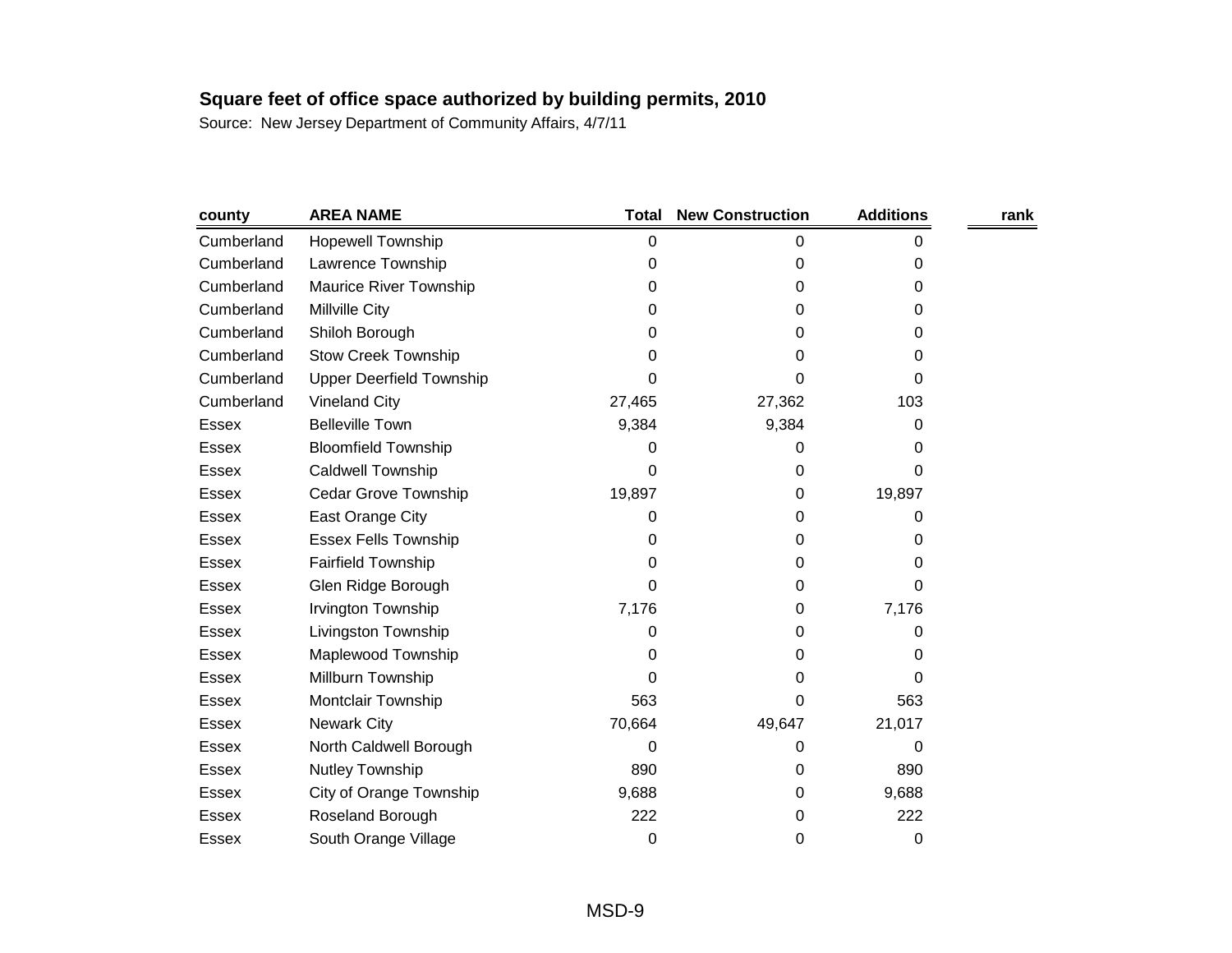| county       | <b>AREA NAME</b>                | <b>Total</b> | <b>New Construction</b> | <b>Additions</b> | rank |
|--------------|---------------------------------|--------------|-------------------------|------------------|------|
| Cumberland   | Hopewell Township               | 0            | 0                       | 0                |      |
| Cumberland   | Lawrence Township               | 0            | 0                       | 0                |      |
| Cumberland   | Maurice River Township          | 0            | 0                       | 0                |      |
| Cumberland   | Millville City                  | 0            | 0                       | 0                |      |
| Cumberland   | Shiloh Borough                  | 0            | 0                       | 0                |      |
| Cumberland   | <b>Stow Creek Township</b>      | 0            | 0                       | 0                |      |
| Cumberland   | <b>Upper Deerfield Township</b> | 0            | 0                       | 0                |      |
| Cumberland   | <b>Vineland City</b>            | 27,465       | 27,362                  | 103              |      |
| <b>Essex</b> | <b>Belleville Town</b>          | 9,384        | 9,384                   | 0                |      |
| <b>Essex</b> | <b>Bloomfield Township</b>      | 0            | 0                       | 0                |      |
| <b>Essex</b> | <b>Caldwell Township</b>        | 0            | 0                       | 0                |      |
| Essex        | Cedar Grove Township            | 19,897       | 0                       | 19,897           |      |
| <b>Essex</b> | East Orange City                | 0            | 0                       | 0                |      |
| Essex        | <b>Essex Fells Township</b>     | 0            | 0                       | 0                |      |
| Essex        | <b>Fairfield Township</b>       | 0            | 0                       | 0                |      |
| Essex        | Glen Ridge Borough              | 0            | 0                       | 0                |      |
| Essex        | Irvington Township              | 7,176        | 0                       | 7,176            |      |
| <b>Essex</b> | Livingston Township             | 0            | 0                       | 0                |      |
| <b>Essex</b> | Maplewood Township              | 0            | 0                       | 0                |      |
| <b>Essex</b> | Millburn Township               | 0            | 0                       | 0                |      |
| <b>Essex</b> | Montclair Township              | 563          | 0                       | 563              |      |
| Essex        | <b>Newark City</b>              | 70,664       | 49,647                  | 21,017           |      |
| <b>Essex</b> | North Caldwell Borough          | 0            | O                       | 0                |      |
| Essex        | Nutley Township                 | 890          | 0                       | 890              |      |
| Essex        | City of Orange Township         | 9,688        | 0                       | 9,688            |      |
| Essex        | Roseland Borough                | 222          | 0                       | 222              |      |
| Essex        | South Orange Village            | 0            | 0                       | 0                |      |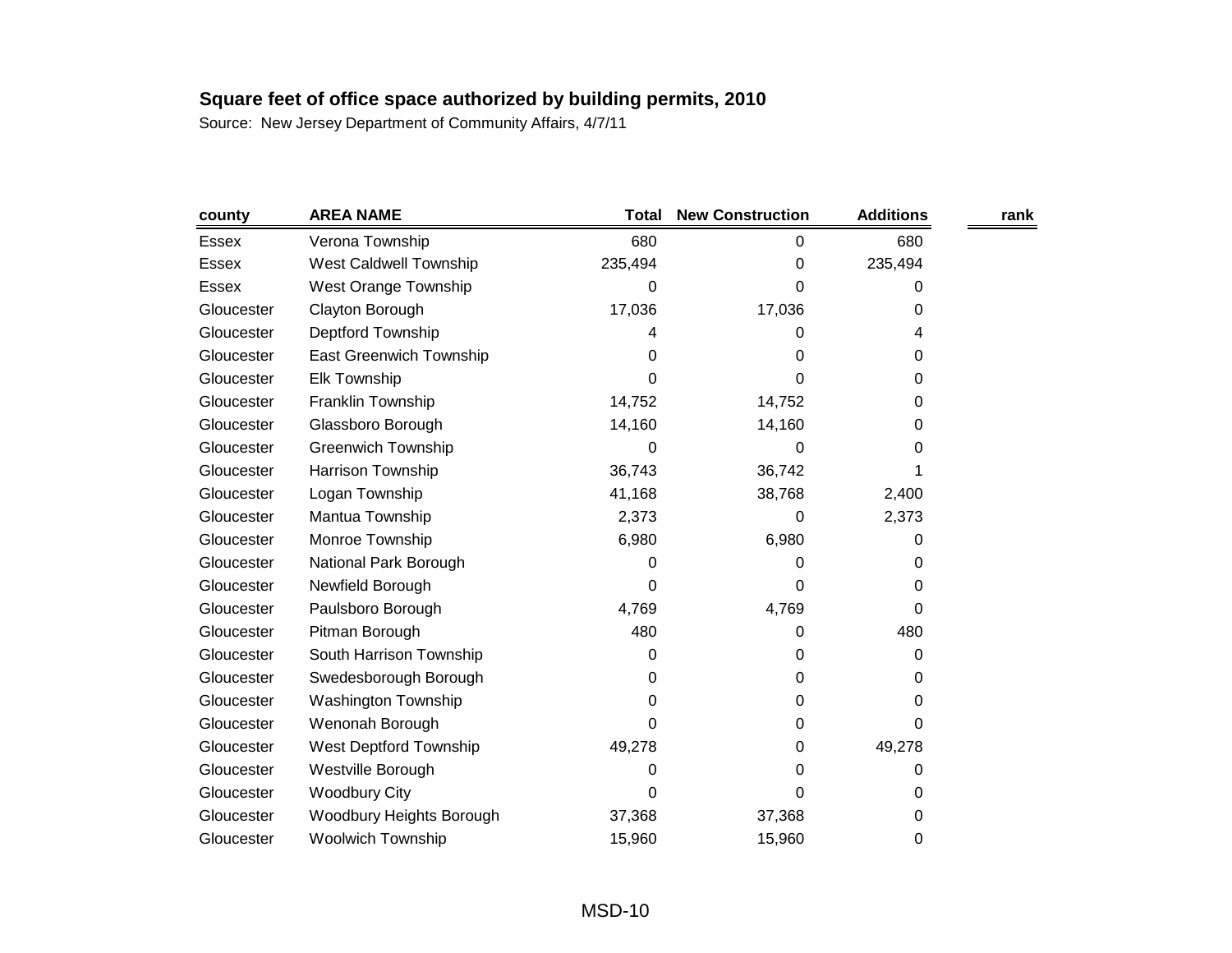| county       | <b>AREA NAME</b>               | Total   | <b>New Construction</b> | <b>Additions</b> | rank |
|--------------|--------------------------------|---------|-------------------------|------------------|------|
| Essex        | Verona Township                | 680     | 0                       | 680              |      |
| <b>Essex</b> | West Caldwell Township         | 235,494 | 0                       | 235,494          |      |
| Essex        | <b>West Orange Township</b>    | 0       | 0                       | O                |      |
| Gloucester   | Clayton Borough                | 17,036  | 17,036                  | 0                |      |
| Gloucester   | Deptford Township              | 4       | 0                       | 4                |      |
| Gloucester   | <b>East Greenwich Township</b> | 0       | 0                       | 0                |      |
| Gloucester   | <b>Elk Township</b>            | 0       | 0                       | 0                |      |
| Gloucester   | Franklin Township              | 14,752  | 14,752                  | 0                |      |
| Gloucester   | Glassboro Borough              | 14,160  | 14,160                  | 0                |      |
| Gloucester   | <b>Greenwich Township</b>      | 0       | 0                       | 0                |      |
| Gloucester   | Harrison Township              | 36,743  | 36,742                  |                  |      |
| Gloucester   | Logan Township                 | 41,168  | 38,768                  | 2,400            |      |
| Gloucester   | Mantua Township                | 2,373   | 0                       | 2,373            |      |
| Gloucester   | Monroe Township                | 6,980   | 6,980                   | 0                |      |
| Gloucester   | National Park Borough          | 0       | 0                       | 0                |      |
| Gloucester   | Newfield Borough               | 0       | 0                       | 0                |      |
| Gloucester   | Paulsboro Borough              | 4,769   | 4,769                   | 0                |      |
| Gloucester   | Pitman Borough                 | 480     | 0                       | 480              |      |
| Gloucester   | South Harrison Township        | 0       | 0                       | 0                |      |
| Gloucester   | Swedesborough Borough          | 0       | 0                       | 0                |      |
| Gloucester   | <b>Washington Township</b>     | 0       | 0                       | 0                |      |
| Gloucester   | Wenonah Borough                | 0       | 0                       | 0                |      |
| Gloucester   | West Deptford Township         | 49,278  | 0                       | 49,278           |      |
| Gloucester   | Westville Borough              | 0       | 0                       | 0                |      |
| Gloucester   | <b>Woodbury City</b>           | 0       | 0                       | 0                |      |
| Gloucester   | Woodbury Heights Borough       | 37,368  | 37,368                  | 0                |      |
| Gloucester   | <b>Woolwich Township</b>       | 15,960  | 15,960                  | 0                |      |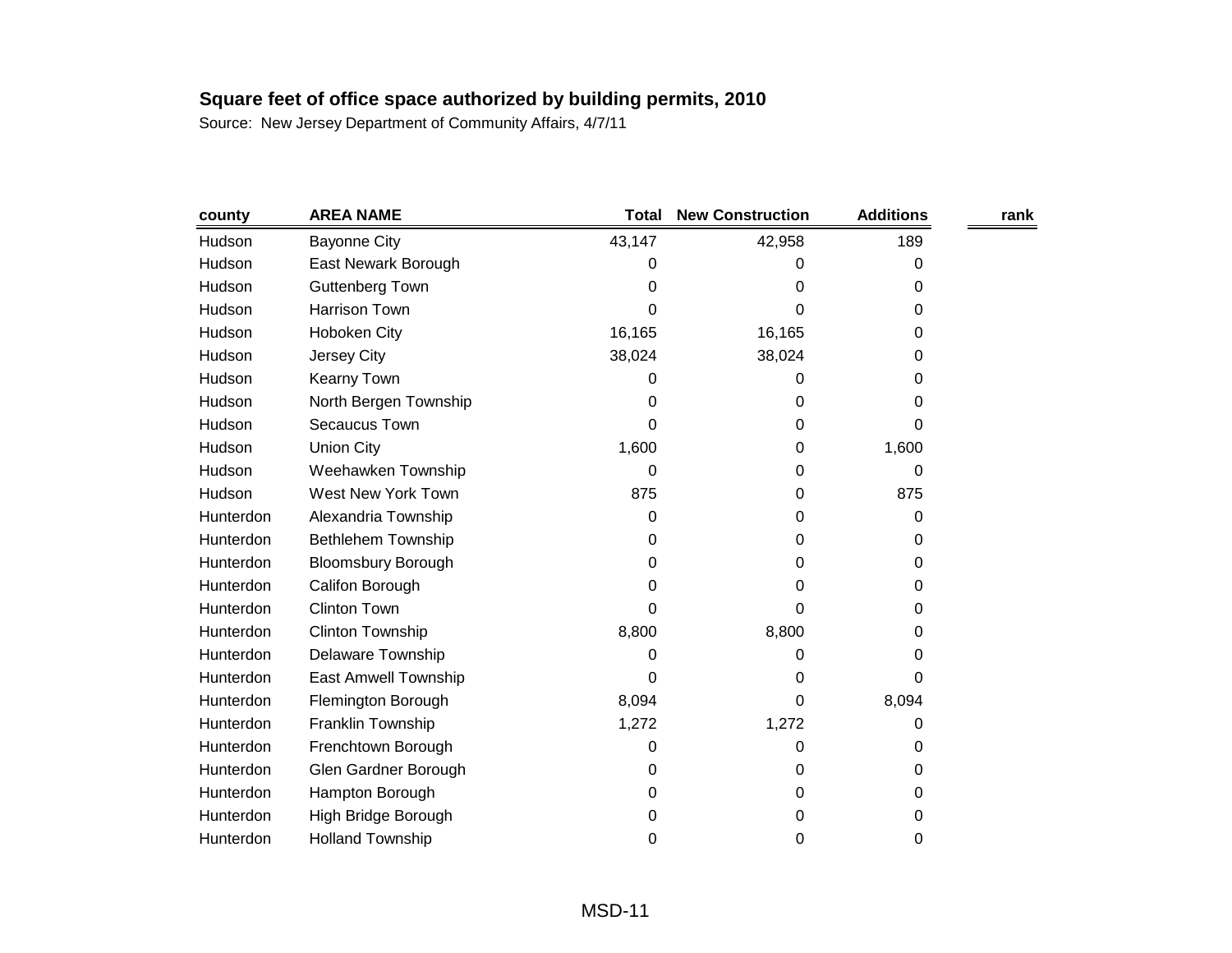| county    | <b>AREA NAME</b>          | <b>Total</b> | <b>New Construction</b> | <b>Additions</b> | rank |
|-----------|---------------------------|--------------|-------------------------|------------------|------|
| Hudson    | <b>Bayonne City</b>       | 43,147       | 42,958                  | 189              |      |
| Hudson    | East Newark Borough       | 0            | 0                       | 0                |      |
| Hudson    | <b>Guttenberg Town</b>    | 0            | 0                       | 0                |      |
| Hudson    | <b>Harrison Town</b>      | 0            | 0                       | 0                |      |
| Hudson    | Hoboken City              | 16,165       | 16,165                  | 0                |      |
| Hudson    | Jersey City               | 38,024       | 38,024                  | 0                |      |
| Hudson    | Kearny Town               | 0            | 0                       | 0                |      |
| Hudson    | North Bergen Township     | 0            | 0                       | 0                |      |
| Hudson    | Secaucus Town             | 0            | 0                       | 0                |      |
| Hudson    | <b>Union City</b>         | 1,600        | 0                       | 1,600            |      |
| Hudson    | Weehawken Township        | 0            | 0                       | 0                |      |
| Hudson    | West New York Town        | 875          | 0                       | 875              |      |
| Hunterdon | Alexandria Township       | 0            | 0                       | 0                |      |
| Hunterdon | <b>Bethlehem Township</b> | 0            | 0                       | 0                |      |
| Hunterdon | <b>Bloomsbury Borough</b> | 0            | 0                       | 0                |      |
| Hunterdon | Califon Borough           | 0            | 0                       | 0                |      |
| Hunterdon | Clinton Town              | 0            | 0                       | 0                |      |
| Hunterdon | <b>Clinton Township</b>   | 8,800        | 8,800                   | 0                |      |
| Hunterdon | <b>Delaware Township</b>  | 0            | 0                       | 0                |      |
| Hunterdon | East Amwell Township      | 0            | 0                       | 0                |      |
| Hunterdon | Flemington Borough        | 8,094        | 0                       | 8,094            |      |
| Hunterdon | Franklin Township         | 1,272        | 1,272                   | 0                |      |
| Hunterdon | Frenchtown Borough        | 0            | 0                       | 0                |      |
| Hunterdon | Glen Gardner Borough      | 0            | 0                       | 0                |      |
| Hunterdon | Hampton Borough           | 0            | 0                       | 0                |      |
| Hunterdon | High Bridge Borough       | 0            | 0                       | 0                |      |
| Hunterdon | <b>Holland Township</b>   | 0            | 0                       | 0                |      |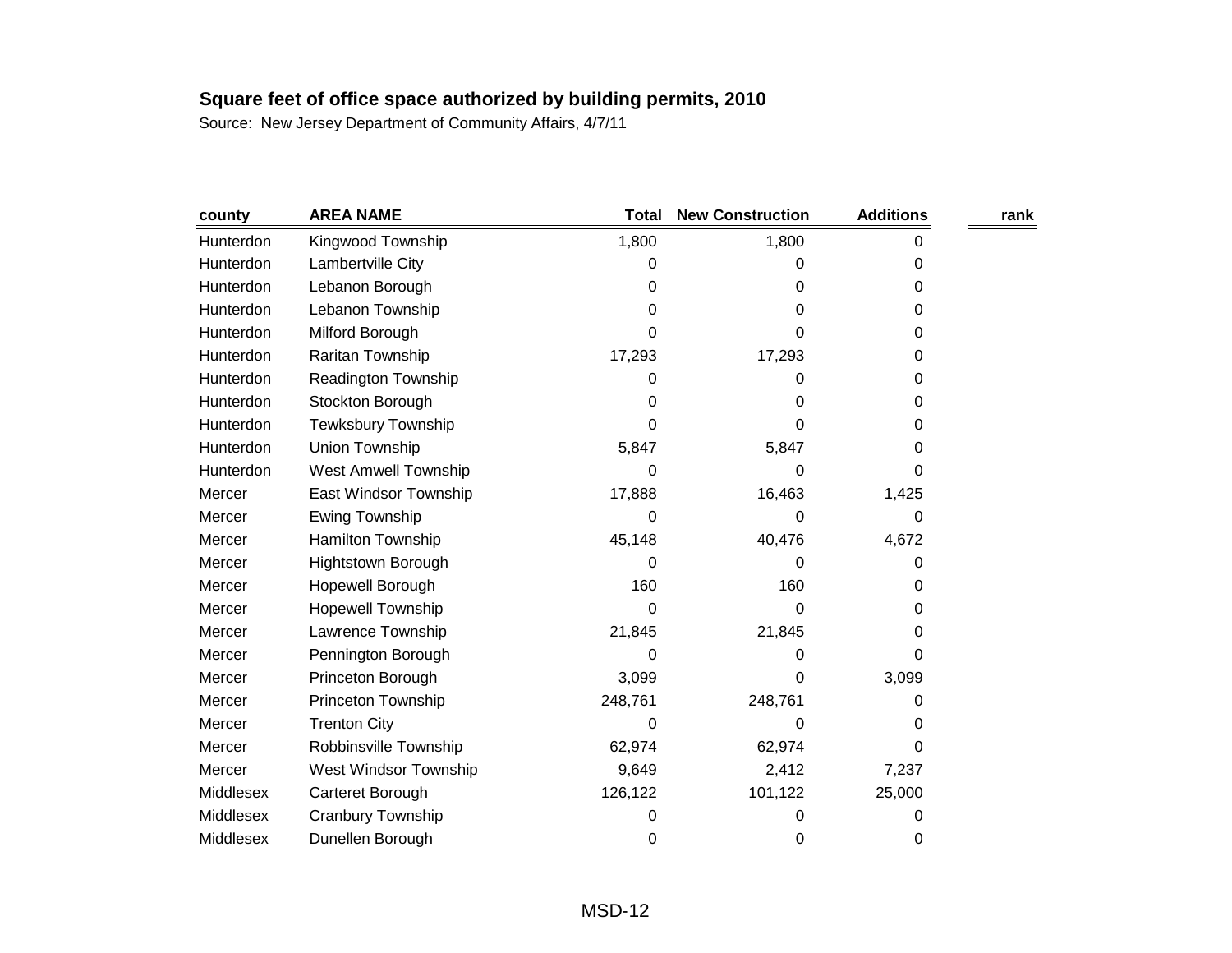| county    | <b>AREA NAME</b>          | <b>Total</b> | <b>New Construction</b> | <b>Additions</b> | rank |
|-----------|---------------------------|--------------|-------------------------|------------------|------|
| Hunterdon | Kingwood Township         | 1,800        | 1,800                   | 0                |      |
| Hunterdon | Lambertville City         | 0            | 0                       | 0                |      |
| Hunterdon | Lebanon Borough           | 0            | 0                       | 0                |      |
| Hunterdon | Lebanon Township          | 0            | 0                       | 0                |      |
| Hunterdon | Milford Borough           | 0            | 0                       | 0                |      |
| Hunterdon | Raritan Township          | 17,293       | 17,293                  | 0                |      |
| Hunterdon | Readington Township       | 0            | 0                       | 0                |      |
| Hunterdon | Stockton Borough          | 0            | 0                       | 0                |      |
| Hunterdon | <b>Tewksbury Township</b> | 0            | 0                       | 0                |      |
| Hunterdon | Union Township            | 5,847        | 5,847                   | 0                |      |
| Hunterdon | West Amwell Township      | 0            | 0                       | 0                |      |
| Mercer    | East Windsor Township     | 17,888       | 16,463                  | 1,425            |      |
| Mercer    | Ewing Township            | 0            | 0                       | 0                |      |
| Mercer    | Hamilton Township         | 45,148       | 40,476                  | 4,672            |      |
| Mercer    | <b>Hightstown Borough</b> | 0            | 0                       | 0                |      |
| Mercer    | Hopewell Borough          | 160          | 160                     | 0                |      |
| Mercer    | <b>Hopewell Township</b>  | 0            | 0                       | 0                |      |
| Mercer    | Lawrence Township         | 21,845       | 21,845                  | 0                |      |
| Mercer    | Pennington Borough        | 0            | 0                       | 0                |      |
| Mercer    | Princeton Borough         | 3,099        | 0                       | 3,099            |      |
| Mercer    | Princeton Township        | 248,761      | 248,761                 | 0                |      |
| Mercer    | <b>Trenton City</b>       | 0            | 0                       | 0                |      |
| Mercer    | Robbinsville Township     | 62,974       | 62,974                  | 0                |      |
| Mercer    | West Windsor Township     | 9,649        | 2,412                   | 7,237            |      |
| Middlesex | Carteret Borough          | 126,122      | 101,122                 | 25,000           |      |
| Middlesex | <b>Cranbury Township</b>  | 0            | 0                       | 0                |      |
| Middlesex | Dunellen Borough          | 0            | 0                       | 0                |      |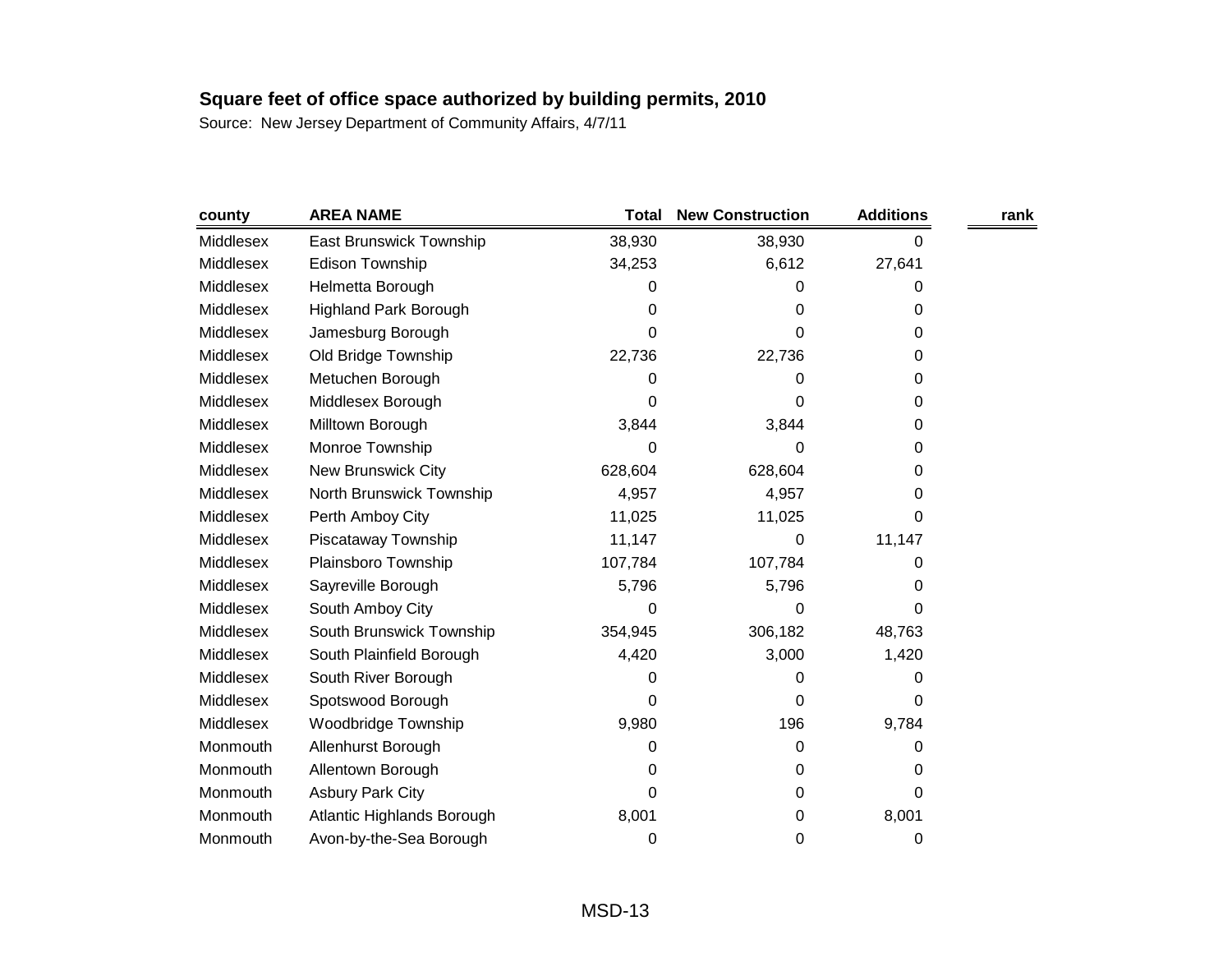| county    | <b>AREA NAME</b>             | Total   | <b>New Construction</b> | <b>Additions</b> | rank |
|-----------|------------------------------|---------|-------------------------|------------------|------|
| Middlesex | East Brunswick Township      | 38,930  | 38,930                  | 0                |      |
| Middlesex | <b>Edison Township</b>       | 34,253  | 6,612                   | 27,641           |      |
| Middlesex | Helmetta Borough             | 0       | 0                       | 0                |      |
| Middlesex | <b>Highland Park Borough</b> | 0       | 0                       | 0                |      |
| Middlesex | Jamesburg Borough            | 0       | 0                       | 0                |      |
| Middlesex | Old Bridge Township          | 22,736  | 22,736                  | 0                |      |
| Middlesex | Metuchen Borough             | 0       | 0                       | 0                |      |
| Middlesex | Middlesex Borough            | 0       | 0                       | 0                |      |
| Middlesex | Milltown Borough             | 3,844   | 3,844                   | 0                |      |
| Middlesex | Monroe Township              | 0       | 0                       | 0                |      |
| Middlesex | <b>New Brunswick City</b>    | 628,604 | 628,604                 | 0                |      |
| Middlesex | North Brunswick Township     | 4,957   | 4,957                   | 0                |      |
| Middlesex | Perth Amboy City             | 11,025  | 11,025                  | 0                |      |
| Middlesex | Piscataway Township          | 11,147  | 0                       | 11,147           |      |
| Middlesex | Plainsboro Township          | 107,784 | 107,784                 | 0                |      |
| Middlesex | Sayreville Borough           | 5,796   | 5,796                   | 0                |      |
| Middlesex | South Amboy City             | 0       | 0                       | 0                |      |
| Middlesex | South Brunswick Township     | 354,945 | 306,182                 | 48,763           |      |
| Middlesex | South Plainfield Borough     | 4,420   | 3,000                   | 1,420            |      |
| Middlesex | South River Borough          | 0       | 0                       | 0                |      |
| Middlesex | Spotswood Borough            | 0       | 0                       | 0                |      |
| Middlesex | Woodbridge Township          | 9,980   | 196                     | 9,784            |      |
| Monmouth  | Allenhurst Borough           | 0       | 0                       | 0                |      |
| Monmouth  | Allentown Borough            | 0       | 0                       | 0                |      |
| Monmouth  | <b>Asbury Park City</b>      | 0       | 0                       | 0                |      |
| Monmouth  | Atlantic Highlands Borough   | 8,001   | 0                       | 8,001            |      |
| Monmouth  | Avon-by-the-Sea Borough      | 0       | 0                       | 0                |      |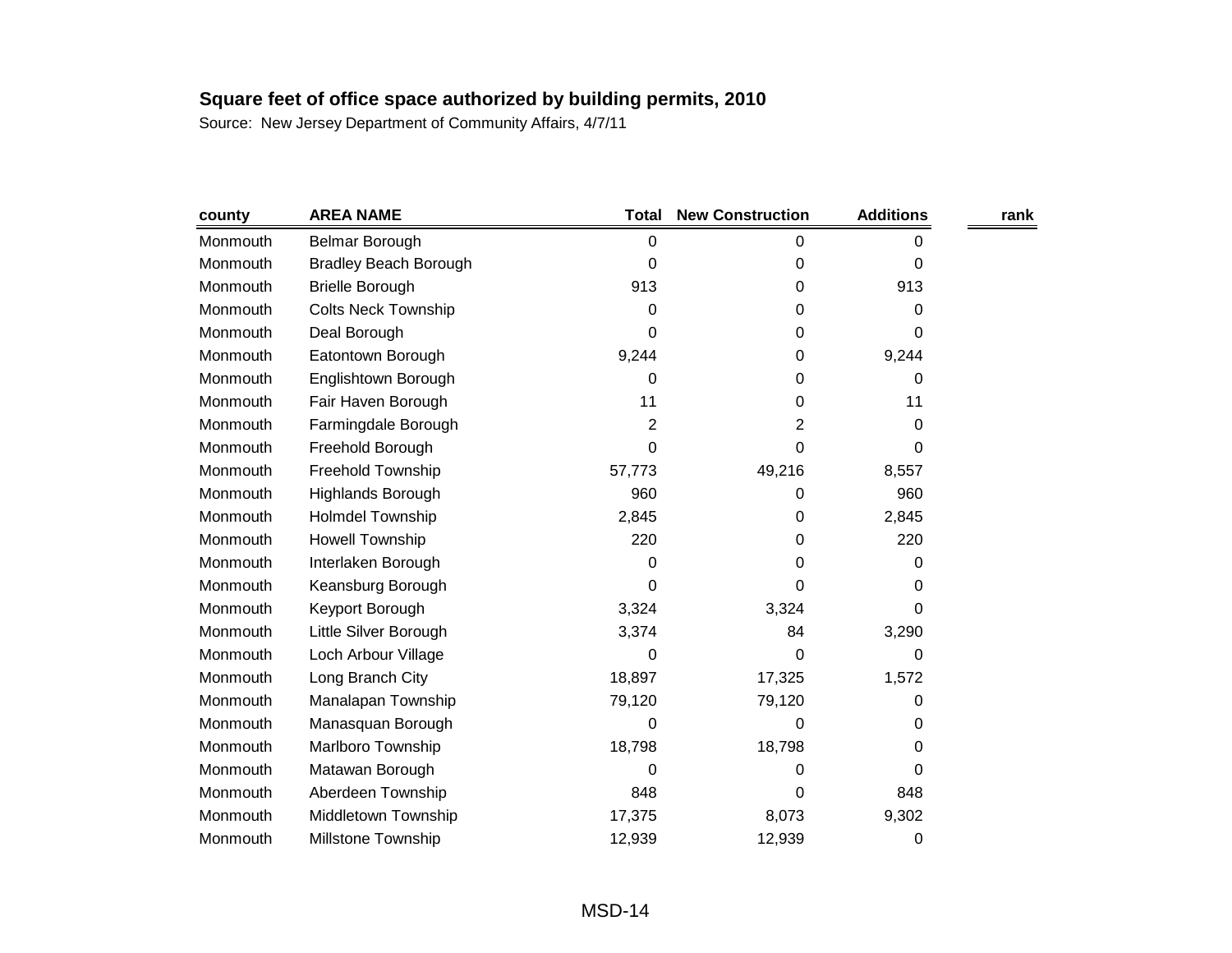| county   | <b>AREA NAME</b>             | <b>Total</b>   | <b>New Construction</b> | <b>Additions</b> | rank |
|----------|------------------------------|----------------|-------------------------|------------------|------|
| Monmouth | <b>Belmar Borough</b>        | 0              | 0                       | 0                |      |
| Monmouth | <b>Bradley Beach Borough</b> | 0              | 0                       | 0                |      |
| Monmouth | <b>Brielle Borough</b>       | 913            | 0                       | 913              |      |
| Monmouth | <b>Colts Neck Township</b>   | 0              | 0                       | 0                |      |
| Monmouth | Deal Borough                 | 0              | 0                       | 0                |      |
| Monmouth | Eatontown Borough            | 9,244          | 0                       | 9,244            |      |
| Monmouth | Englishtown Borough          | 0              | 0                       | 0                |      |
| Monmouth | Fair Haven Borough           | 11             | 0                       | 11               |      |
| Monmouth | Farmingdale Borough          | $\overline{2}$ | 2                       | 0                |      |
| Monmouth | Freehold Borough             | 0              | 0                       | 0                |      |
| Monmouth | Freehold Township            | 57,773         | 49,216                  | 8,557            |      |
| Monmouth | Highlands Borough            | 960            | 0                       | 960              |      |
| Monmouth | <b>Holmdel Township</b>      | 2,845          | 0                       | 2,845            |      |
| Monmouth | <b>Howell Township</b>       | 220            | 0                       | 220              |      |
| Monmouth | Interlaken Borough           | 0              | 0                       | 0                |      |
| Monmouth | Keansburg Borough            | 0              | 0                       | 0                |      |
| Monmouth | Keyport Borough              | 3,324          | 3,324                   | 0                |      |
| Monmouth | Little Silver Borough        | 3,374          | 84                      | 3,290            |      |
| Monmouth | Loch Arbour Village          | 0              | 0                       | 0                |      |
| Monmouth | Long Branch City             | 18,897         | 17,325                  | 1,572            |      |
| Monmouth | Manalapan Township           | 79,120         | 79,120                  | 0                |      |
| Monmouth | Manasquan Borough            | 0              | 0                       | 0                |      |
| Monmouth | Marlboro Township            | 18,798         | 18,798                  | 0                |      |
| Monmouth | Matawan Borough              | 0              | 0                       | 0                |      |
| Monmouth | Aberdeen Township            | 848            | 0                       | 848              |      |
| Monmouth | Middletown Township          | 17,375         | 8,073                   | 9,302            |      |
| Monmouth | <b>Millstone Township</b>    | 12,939         | 12,939                  | 0                |      |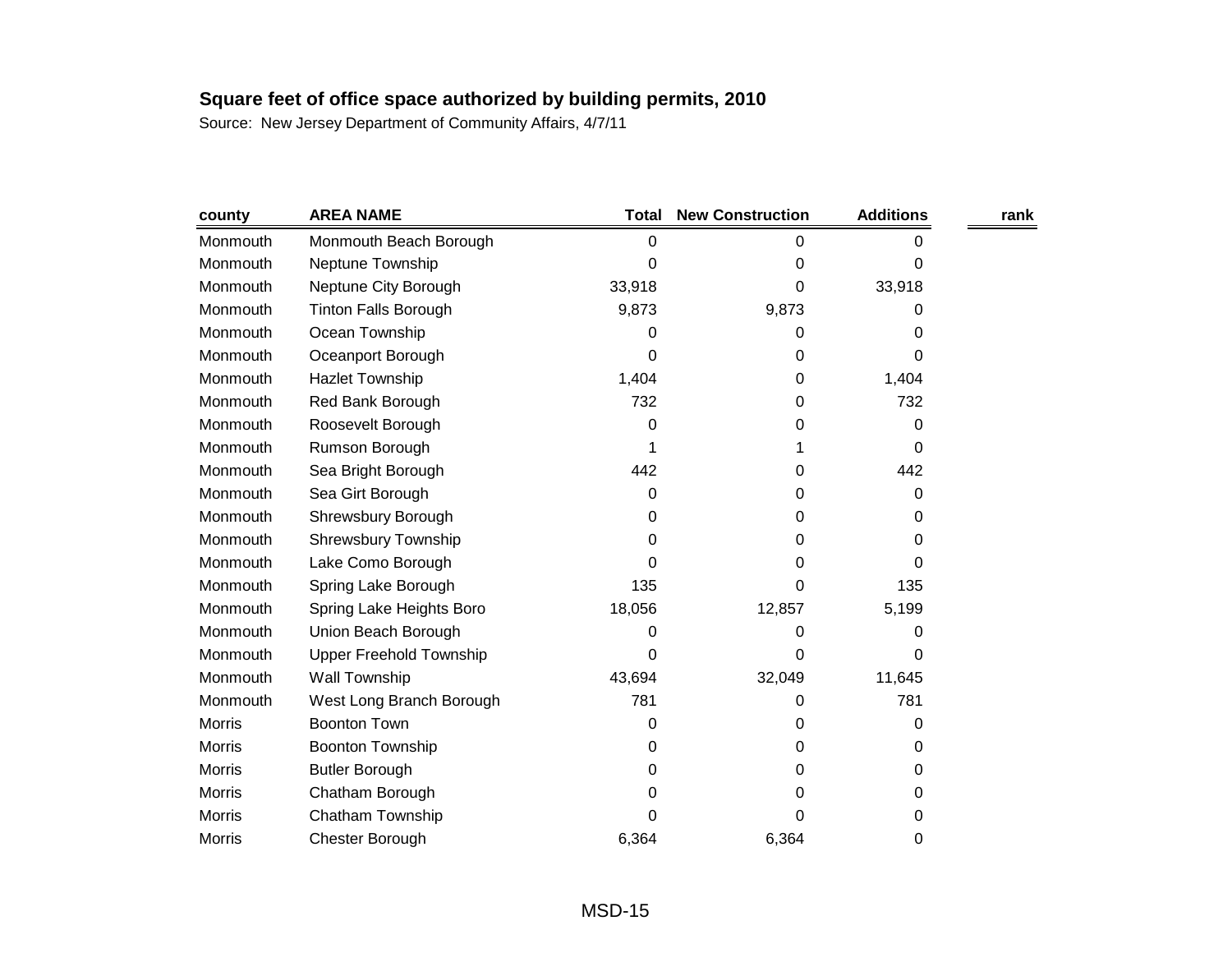| county        | <b>AREA NAME</b>               | Total  | <b>New Construction</b> | <b>Additions</b> | rank |
|---------------|--------------------------------|--------|-------------------------|------------------|------|
| Monmouth      | Monmouth Beach Borough         | 0      | 0                       | 0                |      |
| Monmouth      | Neptune Township               | 0      | 0                       | 0                |      |
| Monmouth      | Neptune City Borough           | 33,918 | 0                       | 33,918           |      |
| Monmouth      | <b>Tinton Falls Borough</b>    | 9,873  | 9,873                   | 0                |      |
| Monmouth      | Ocean Township                 | 0      | 0                       | 0                |      |
| Monmouth      | Oceanport Borough              | 0      | 0                       | 0                |      |
| Monmouth      | <b>Hazlet Township</b>         | 1,404  | 0                       | 1,404            |      |
| Monmouth      | Red Bank Borough               | 732    | 0                       | 732              |      |
| Monmouth      | Roosevelt Borough              | 0      | 0                       | 0                |      |
| Monmouth      | Rumson Borough                 |        | 1                       | 0                |      |
| Monmouth      | Sea Bright Borough             | 442    | 0                       | 442              |      |
| Monmouth      | Sea Girt Borough               | 0      | 0                       | 0                |      |
| Monmouth      | Shrewsbury Borough             | 0      | 0                       | 0                |      |
| Monmouth      | Shrewsbury Township            | 0      | 0                       | 0                |      |
| Monmouth      | Lake Como Borough              | 0      | 0                       | 0                |      |
| Monmouth      | Spring Lake Borough            | 135    | 0                       | 135              |      |
| Monmouth      | Spring Lake Heights Boro       | 18,056 | 12,857                  | 5,199            |      |
| Monmouth      | Union Beach Borough            | 0      | 0                       | 0                |      |
| Monmouth      | <b>Upper Freehold Township</b> | 0      | 0                       | 0                |      |
| Monmouth      | Wall Township                  | 43,694 | 32,049                  | 11,645           |      |
| Monmouth      | West Long Branch Borough       | 781    | 0                       | 781              |      |
| <b>Morris</b> | <b>Boonton Town</b>            | 0      | 0                       | 0                |      |
| <b>Morris</b> | <b>Boonton Township</b>        | 0      | 0                       | 0                |      |
| <b>Morris</b> | <b>Butler Borough</b>          | 0      | 0                       | 0                |      |
| <b>Morris</b> | Chatham Borough                | 0      | 0                       | 0                |      |
| <b>Morris</b> | Chatham Township               | 0      | 0                       | 0                |      |
| <b>Morris</b> | Chester Borough                | 6,364  | 6,364                   | 0                |      |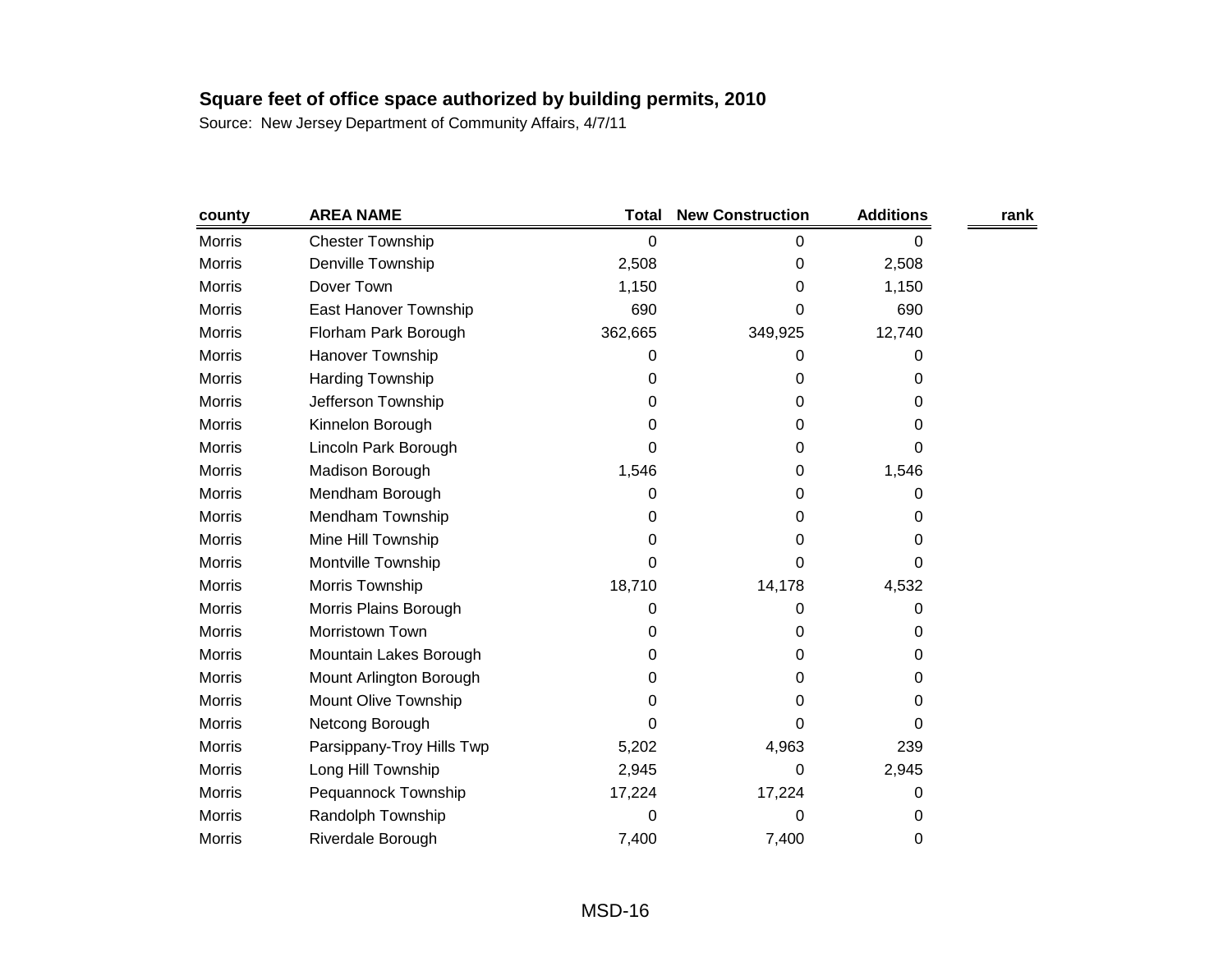| county        | <b>AREA NAME</b>          | <b>Total</b> | <b>New Construction</b> | <b>Additions</b> | rank |
|---------------|---------------------------|--------------|-------------------------|------------------|------|
| <b>Morris</b> | <b>Chester Township</b>   | 0            | 0                       | 0                |      |
| <b>Morris</b> | Denville Township         | 2,508        | 0                       | 2,508            |      |
| <b>Morris</b> | Dover Town                | 1,150        | 0                       | 1,150            |      |
| <b>Morris</b> | East Hanover Township     | 690          | 0                       | 690              |      |
| <b>Morris</b> | Florham Park Borough      | 362,665      | 349,925                 | 12,740           |      |
| <b>Morris</b> | Hanover Township          | 0            | 0                       | 0                |      |
| <b>Morris</b> | Harding Township          | 0            | 0                       | 0                |      |
| <b>Morris</b> | Jefferson Township        | 0            | 0                       | 0                |      |
| <b>Morris</b> | Kinnelon Borough          | 0            | 0                       | 0                |      |
| <b>Morris</b> | Lincoln Park Borough      | 0            | 0                       | 0                |      |
| <b>Morris</b> | Madison Borough           | 1,546        | 0                       | 1,546            |      |
| <b>Morris</b> | Mendham Borough           | 0            | 0                       | 0                |      |
| <b>Morris</b> | Mendham Township          | 0            | 0                       | 0                |      |
| <b>Morris</b> | Mine Hill Township        | 0            | 0                       | 0                |      |
| <b>Morris</b> | Montville Township        | 0            | 0                       | 0                |      |
| <b>Morris</b> | Morris Township           | 18,710       | 14,178                  | 4,532            |      |
| <b>Morris</b> | Morris Plains Borough     | 0            | 0                       | 0                |      |
| <b>Morris</b> | Morristown Town           | 0            | 0                       | 0                |      |
| <b>Morris</b> | Mountain Lakes Borough    | 0            | 0                       | 0                |      |
| <b>Morris</b> | Mount Arlington Borough   | 0            | 0                       | 0                |      |
| <b>Morris</b> | Mount Olive Township      | 0            | 0                       | 0                |      |
| <b>Morris</b> | Netcong Borough           | 0            | 0                       | 0                |      |
| Morris        | Parsippany-Troy Hills Twp | 5,202        | 4,963                   | 239              |      |
| <b>Morris</b> | Long Hill Township        | 2,945        | 0                       | 2,945            |      |
| <b>Morris</b> | Pequannock Township       | 17,224       | 17,224                  | 0                |      |
| <b>Morris</b> | Randolph Township         | 0            | 0                       | 0                |      |
| <b>Morris</b> | Riverdale Borough         | 7,400        | 7,400                   | 0                |      |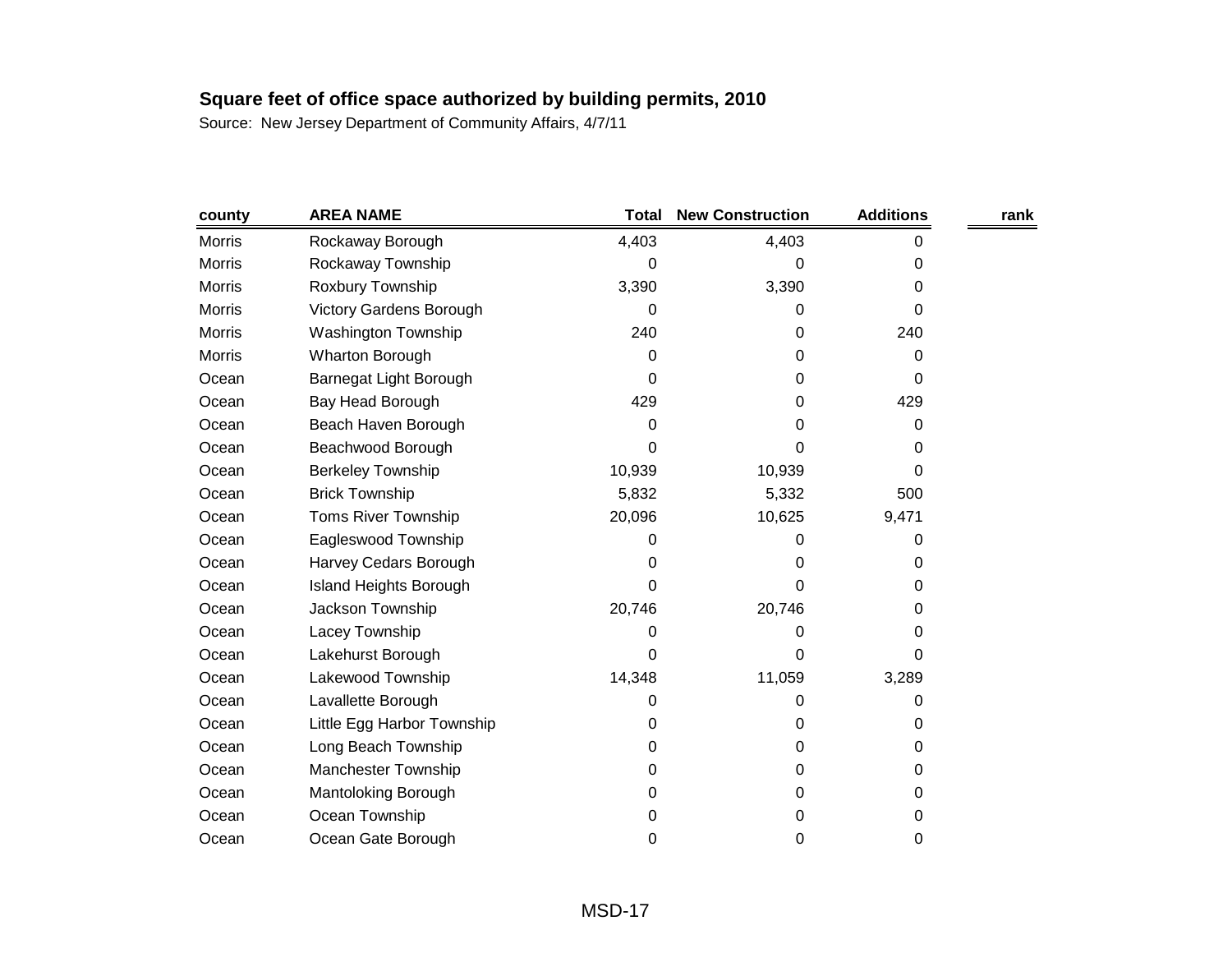| county        | <b>AREA NAME</b>               | <b>Total</b> | <b>New Construction</b> | <b>Additions</b> | rank |
|---------------|--------------------------------|--------------|-------------------------|------------------|------|
| <b>Morris</b> | Rockaway Borough               | 4,403        | 4,403                   | 0                |      |
| Morris        | Rockaway Township              | 0            | 0                       | 0                |      |
| Morris        | Roxbury Township               | 3,390        | 3,390                   | 0                |      |
| <b>Morris</b> | <b>Victory Gardens Borough</b> | 0            | 0                       | 0                |      |
| Morris        | <b>Washington Township</b>     | 240          | 0                       | 240              |      |
| Morris        | Wharton Borough                | 0            | 0                       | 0                |      |
| Ocean         | Barnegat Light Borough         | 0            | 0                       | 0                |      |
| Ocean         | Bay Head Borough               | 429          | 0                       | 429              |      |
| Ocean         | Beach Haven Borough            | 0            | 0                       | 0                |      |
| Ocean         | Beachwood Borough              | 0            | 0                       | 0                |      |
| Ocean         | <b>Berkeley Township</b>       | 10,939       | 10,939                  | 0                |      |
| Ocean         | <b>Brick Township</b>          | 5,832        | 5,332                   | 500              |      |
| Ocean         | <b>Toms River Township</b>     | 20,096       | 10,625                  | 9,471            |      |
| Ocean         | Eagleswood Township            | 0            | 0                       | 0                |      |
| Ocean         | Harvey Cedars Borough          | 0            | 0                       | 0                |      |
| Ocean         | <b>Island Heights Borough</b>  | 0            | 0                       | 0                |      |
| Ocean         | Jackson Township               | 20,746       | 20,746                  | 0                |      |
| Ocean         | Lacey Township                 | 0            | 0                       | 0                |      |
| Ocean         | Lakehurst Borough              | 0            | 0                       | 0                |      |
| Ocean         | Lakewood Township              | 14,348       | 11,059                  | 3,289            |      |
| Ocean         | Lavallette Borough             | 0            | 0                       | 0                |      |
| Ocean         | Little Egg Harbor Township     | 0            | 0                       | 0                |      |
| Ocean         | Long Beach Township            | 0            | 0                       | 0                |      |
| Ocean         | Manchester Township            | 0            | 0                       | 0                |      |
| Ocean         | Mantoloking Borough            | 0            | 0                       | 0                |      |
| Ocean         | Ocean Township                 | 0            | 0                       | 0                |      |
| Ocean         | Ocean Gate Borough             | 0            | 0                       | 0                |      |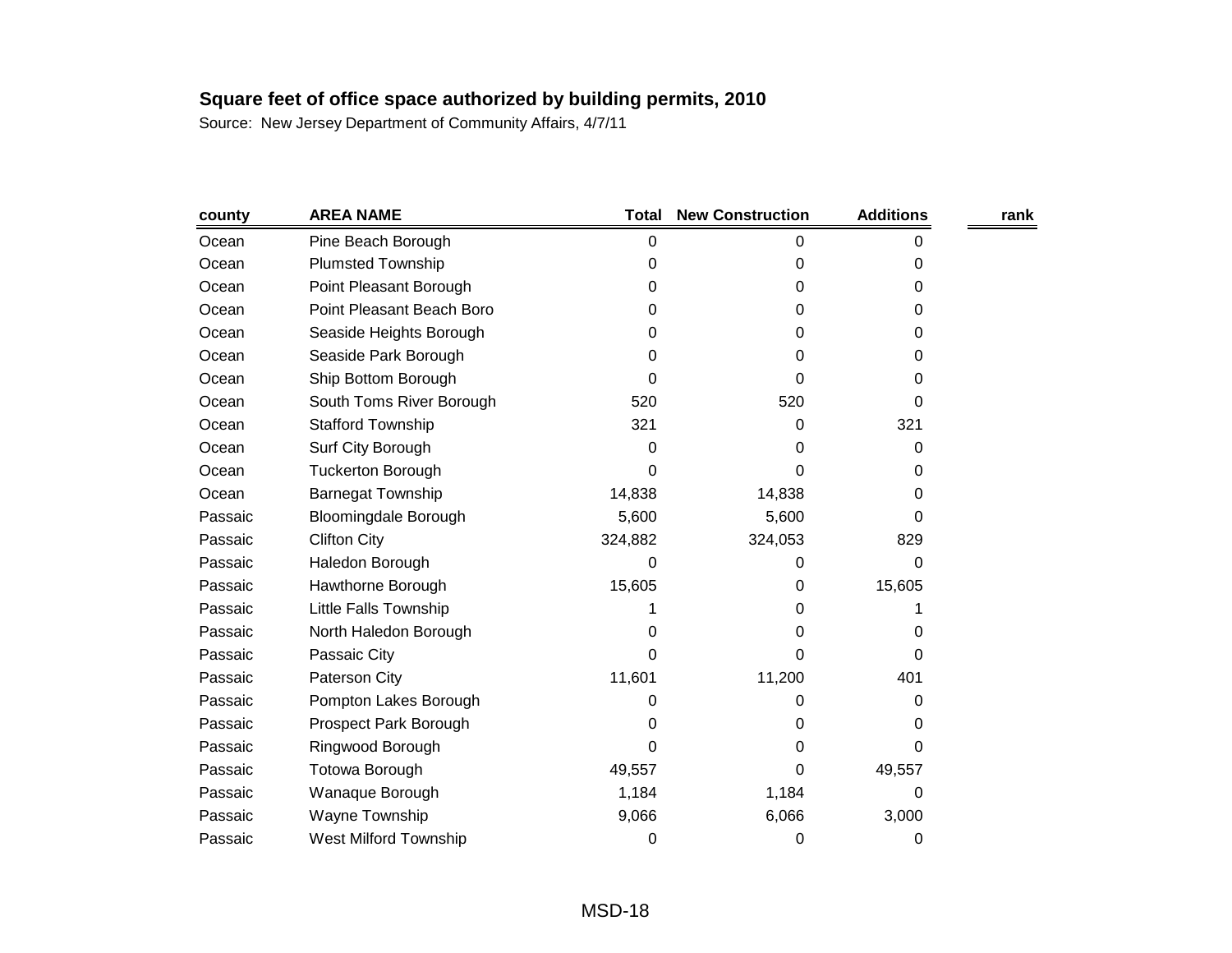| county  | <b>AREA NAME</b>            | <b>Total</b> | <b>New Construction</b> | <b>Additions</b> | rank |
|---------|-----------------------------|--------------|-------------------------|------------------|------|
| Ocean   | Pine Beach Borough          | 0            | 0                       | 0                |      |
| Ocean   | <b>Plumsted Township</b>    | 0            | 0                       | 0                |      |
| Ocean   | Point Pleasant Borough      | 0            | 0                       | 0                |      |
| Ocean   | Point Pleasant Beach Boro   | 0            | 0                       | 0                |      |
| Ocean   | Seaside Heights Borough     | 0            | 0                       | 0                |      |
| Ocean   | Seaside Park Borough        | 0            | 0                       | 0                |      |
| Ocean   | Ship Bottom Borough         | 0            | 0                       | 0                |      |
| Ocean   | South Toms River Borough    | 520          | 520                     | 0                |      |
| Ocean   | <b>Stafford Township</b>    | 321          | 0                       | 321              |      |
| Ocean   | Surf City Borough           | 0            | 0                       | 0                |      |
| Ocean   | <b>Tuckerton Borough</b>    | 0            | 0                       | 0                |      |
| Ocean   | <b>Barnegat Township</b>    | 14,838       | 14,838                  | 0                |      |
| Passaic | <b>Bloomingdale Borough</b> | 5,600        | 5,600                   | 0                |      |
| Passaic | <b>Clifton City</b>         | 324,882      | 324,053                 | 829              |      |
| Passaic | Haledon Borough             | 0            | 0                       | 0                |      |
| Passaic | Hawthorne Borough           | 15,605       | 0                       | 15,605           |      |
| Passaic | Little Falls Township       |              | 0                       |                  |      |
| Passaic | North Haledon Borough       | 0            | 0                       | 0                |      |
| Passaic | Passaic City                | 0            | 0                       | 0                |      |
| Passaic | Paterson City               | 11,601       | 11,200                  | 401              |      |
| Passaic | Pompton Lakes Borough       | 0            | 0                       | 0                |      |
| Passaic | Prospect Park Borough       | 0            | 0                       | 0                |      |
| Passaic | Ringwood Borough            | 0            | 0                       | 0                |      |
| Passaic | Totowa Borough              | 49,557       | 0                       | 49,557           |      |
| Passaic | Wanaque Borough             | 1,184        | 1,184                   | 0                |      |
| Passaic | Wayne Township              | 9,066        | 6,066                   | 3,000            |      |
| Passaic | West Milford Township       | 0            | 0                       | 0                |      |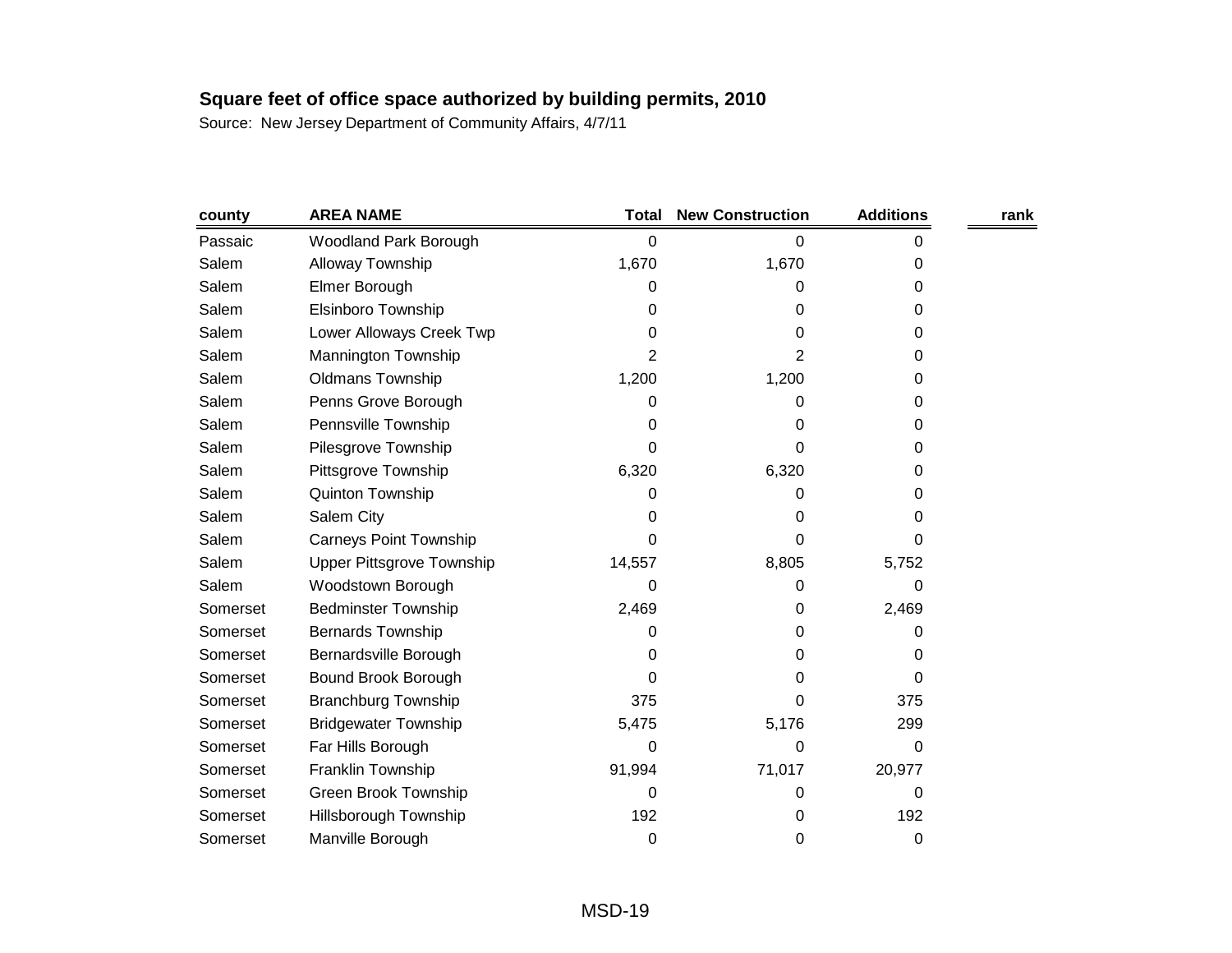| county   | <b>AREA NAME</b>                 | Total  | <b>New Construction</b> | <b>Additions</b> | rank |
|----------|----------------------------------|--------|-------------------------|------------------|------|
| Passaic  | Woodland Park Borough            | 0      | 0                       | 0                |      |
| Salem    | Alloway Township                 | 1,670  | 1,670                   | 0                |      |
| Salem    | Elmer Borough                    | 0      | 0                       | 0                |      |
| Salem    | Elsinboro Township               | 0      | 0                       | 0                |      |
| Salem    | Lower Alloways Creek Twp         | 0      | 0                       | 0                |      |
| Salem    | Mannington Township              | 2      | 2                       | 0                |      |
| Salem    | <b>Oldmans Township</b>          | 1,200  | 1,200                   | 0                |      |
| Salem    | Penns Grove Borough              | 0      | 0                       | 0                |      |
| Salem    | Pennsville Township              | 0      | 0                       | 0                |      |
| Salem    | Pilesgrove Township              | 0      | 0                       | 0                |      |
| Salem    | Pittsgrove Township              | 6,320  | 6,320                   | 0                |      |
| Salem    | Quinton Township                 | 0      | 0                       | 0                |      |
| Salem    | Salem City                       | 0      | 0                       | 0                |      |
| Salem    | <b>Carneys Point Township</b>    | 0      | 0                       | 0                |      |
| Salem    | <b>Upper Pittsgrove Township</b> | 14,557 | 8,805                   | 5,752            |      |
| Salem    | Woodstown Borough                | 0      | 0                       | 0                |      |
| Somerset | <b>Bedminster Township</b>       | 2,469  | 0                       | 2,469            |      |
| Somerset | <b>Bernards Township</b>         | 0      | 0                       | 0                |      |
| Somerset | Bernardsville Borough            | 0      | 0                       | 0                |      |
| Somerset | Bound Brook Borough              | 0      | 0                       | 0                |      |
| Somerset | <b>Branchburg Township</b>       | 375    | 0                       | 375              |      |
| Somerset | <b>Bridgewater Township</b>      | 5,475  | 5,176                   | 299              |      |
| Somerset | Far Hills Borough                | 0      | 0                       | 0                |      |
| Somerset | Franklin Township                | 91,994 | 71,017                  | 20,977           |      |
| Somerset | Green Brook Township             | 0      | 0                       | 0                |      |
| Somerset | <b>Hillsborough Township</b>     | 192    | 0                       | 192              |      |
| Somerset | Manville Borough                 | 0      | 0                       | 0                |      |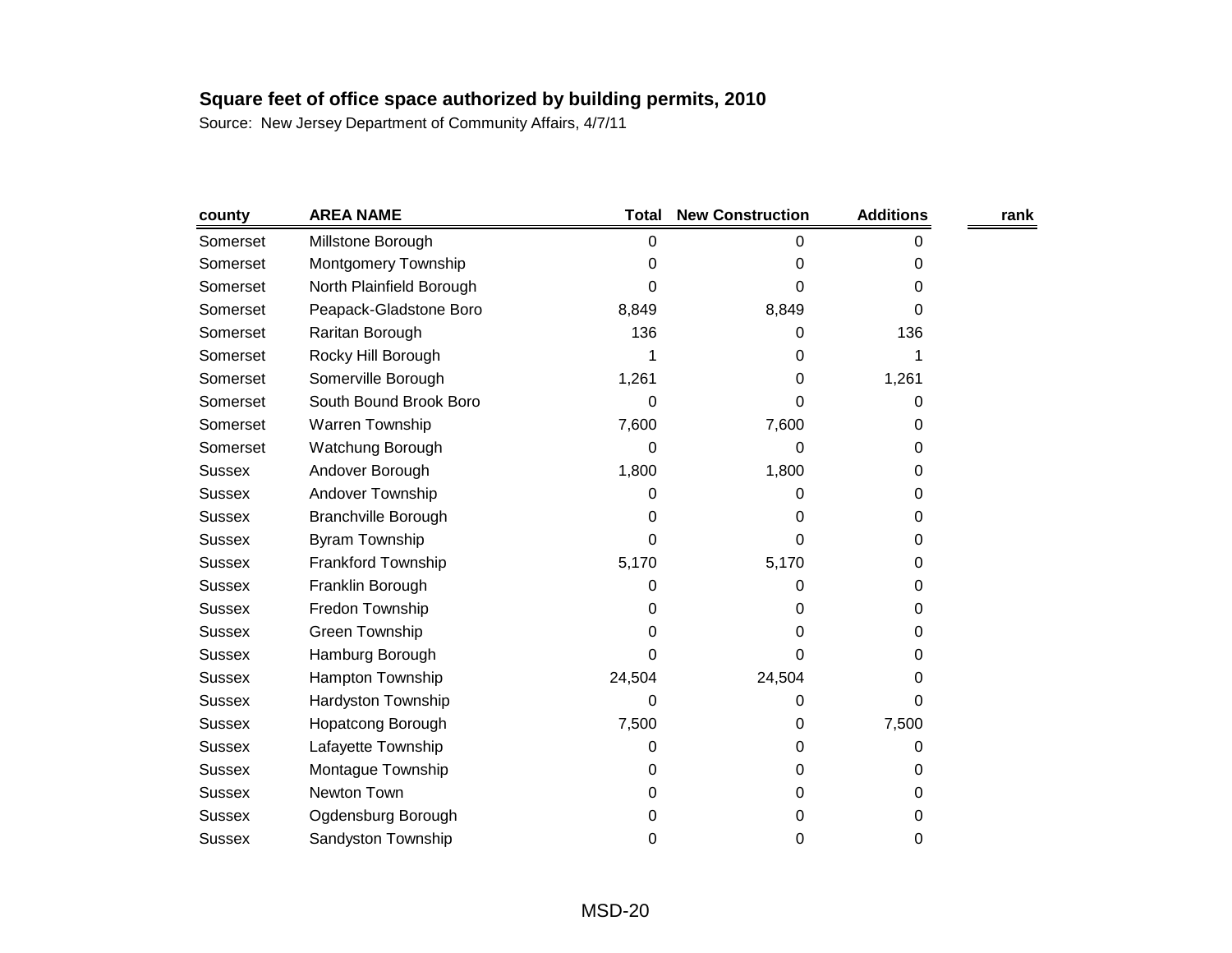| county        | <b>AREA NAME</b>           | <b>Total</b> | <b>New Construction</b> | <b>Additions</b> | rank |
|---------------|----------------------------|--------------|-------------------------|------------------|------|
| Somerset      | Millstone Borough          | 0            | 0                       | 0                |      |
| Somerset      | Montgomery Township        | 0            | 0                       | 0                |      |
| Somerset      | North Plainfield Borough   | 0            | 0                       | 0                |      |
| Somerset      | Peapack-Gladstone Boro     | 8,849        | 8,849                   | 0                |      |
| Somerset      | Raritan Borough            | 136          | 0                       | 136              |      |
| Somerset      | Rocky Hill Borough         |              | 0                       | 1                |      |
| Somerset      | Somerville Borough         | 1,261        | 0                       | 1,261            |      |
| Somerset      | South Bound Brook Boro     | 0            | 0                       | 0                |      |
| Somerset      | Warren Township            | 7,600        | 7,600                   | 0                |      |
| Somerset      | Watchung Borough           | 0            | 0                       | 0                |      |
| <b>Sussex</b> | Andover Borough            | 1,800        | 1,800                   | 0                |      |
| <b>Sussex</b> | Andover Township           | 0            | 0                       | 0                |      |
| <b>Sussex</b> | <b>Branchville Borough</b> | 0            | 0                       | 0                |      |
| <b>Sussex</b> | <b>Byram Township</b>      | 0            | 0                       | 0                |      |
| <b>Sussex</b> | Frankford Township         | 5,170        | 5,170                   | 0                |      |
| <b>Sussex</b> | Franklin Borough           | 0            | 0                       | 0                |      |
| <b>Sussex</b> | Fredon Township            | 0            | 0                       | 0                |      |
| <b>Sussex</b> | Green Township             | 0            | 0                       | 0                |      |
| <b>Sussex</b> | Hamburg Borough            | 0            | 0                       | 0                |      |
| <b>Sussex</b> | Hampton Township           | 24,504       | 24,504                  | 0                |      |
| <b>Sussex</b> | <b>Hardyston Township</b>  | 0            | 0                       | 0                |      |
| <b>Sussex</b> | Hopatcong Borough          | 7,500        | 0                       | 7,500            |      |
| <b>Sussex</b> | Lafayette Township         | 0            | 0                       | 0                |      |
| <b>Sussex</b> | Montague Township          | 0            | 0                       | 0                |      |
| <b>Sussex</b> | Newton Town                | 0            | 0                       | 0                |      |
| <b>Sussex</b> | Ogdensburg Borough         | 0            | 0                       | 0                |      |
| Sussex        | Sandyston Township         | 0            | 0                       | 0                |      |
|               |                            |              |                         |                  |      |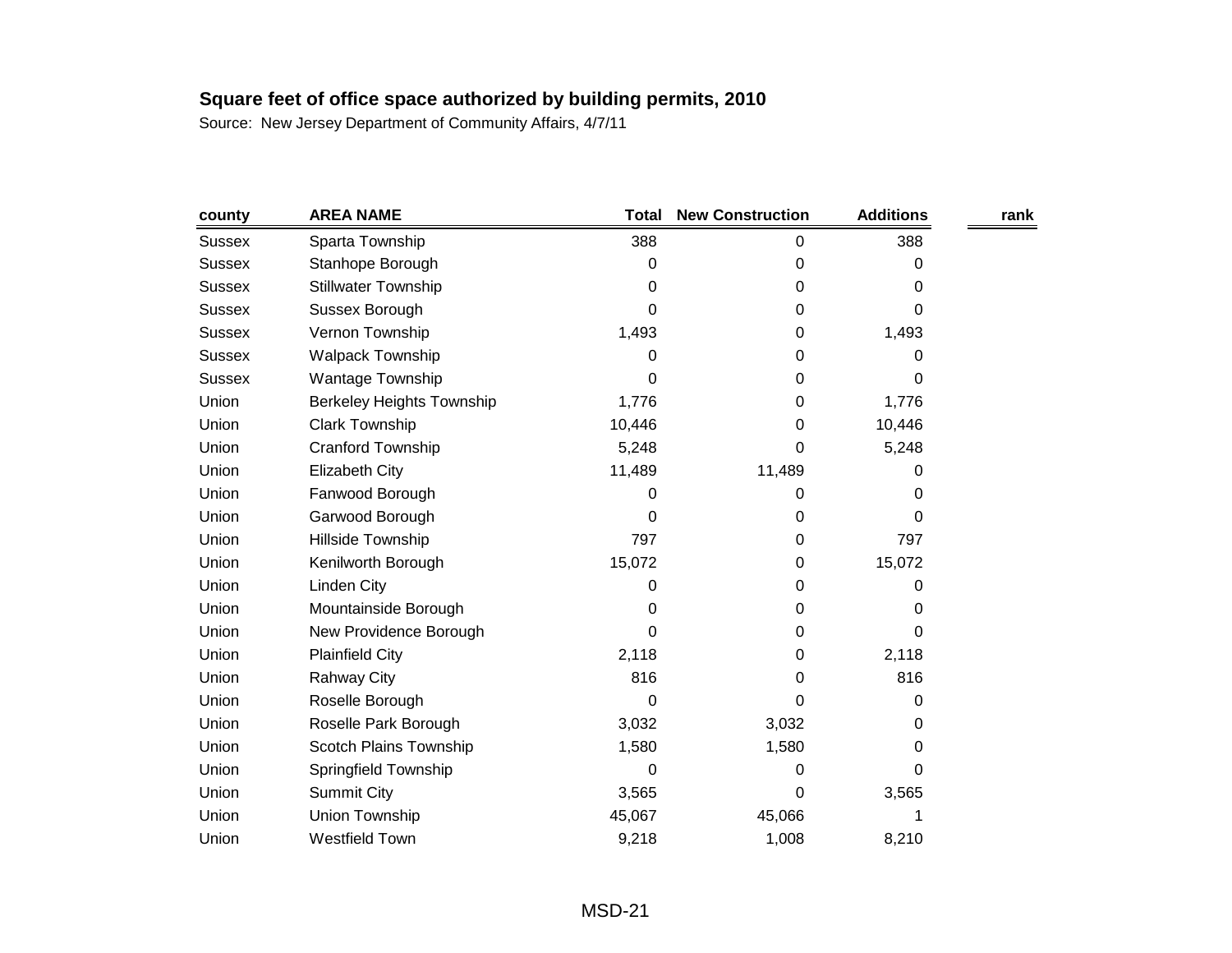| county        | <b>AREA NAME</b>                 | <b>Total</b> | <b>New Construction</b> | <b>Additions</b> | rank |
|---------------|----------------------------------|--------------|-------------------------|------------------|------|
| <b>Sussex</b> | Sparta Township                  | 388          | 0                       | 388              |      |
| <b>Sussex</b> | Stanhope Borough                 | 0            | 0                       | 0                |      |
| <b>Sussex</b> | <b>Stillwater Township</b>       | 0            | 0                       | 0                |      |
| <b>Sussex</b> | Sussex Borough                   | 0            | 0                       | 0                |      |
| <b>Sussex</b> | Vernon Township                  | 1,493        | 0                       | 1,493            |      |
| Sussex        | <b>Walpack Township</b>          | 0            | 0                       | 0                |      |
| <b>Sussex</b> | Wantage Township                 | 0            | 0                       | 0                |      |
| Union         | <b>Berkeley Heights Township</b> | 1,776        | 0                       | 1,776            |      |
| Union         | <b>Clark Township</b>            | 10,446       | 0                       | 10,446           |      |
| Union         | Cranford Township                | 5,248        | 0                       | 5,248            |      |
| Union         | Elizabeth City                   | 11,489       | 11,489                  | 0                |      |
| Union         | Fanwood Borough                  | 0            | 0                       | 0                |      |
| Union         | Garwood Borough                  | 0            | 0                       | 0                |      |
| Union         | Hillside Township                | 797          | 0                       | 797              |      |
| Union         | Kenilworth Borough               | 15,072       | 0                       | 15,072           |      |
| Union         | Linden City                      | 0            | 0                       | 0                |      |
| Union         | Mountainside Borough             | 0            | 0                       | 0                |      |
| Union         | New Providence Borough           | 0            | 0                       | 0                |      |
| Union         | <b>Plainfield City</b>           | 2,118        | 0                       | 2,118            |      |
| Union         | <b>Rahway City</b>               | 816          | 0                       | 816              |      |
| Union         | Roselle Borough                  | 0            | 0                       | 0                |      |
| Union         | Roselle Park Borough             | 3,032        | 3,032                   | 0                |      |
| Union         | Scotch Plains Township           | 1,580        | 1,580                   | 0                |      |
| Union         | Springfield Township             | 0            | 0                       | 0                |      |
| Union         | <b>Summit City</b>               | 3,565        | 0                       | 3,565            |      |
| Union         | Union Township                   | 45,067       | 45,066                  |                  |      |
| Union         | <b>Westfield Town</b>            | 9,218        | 1,008                   | 8,210            |      |